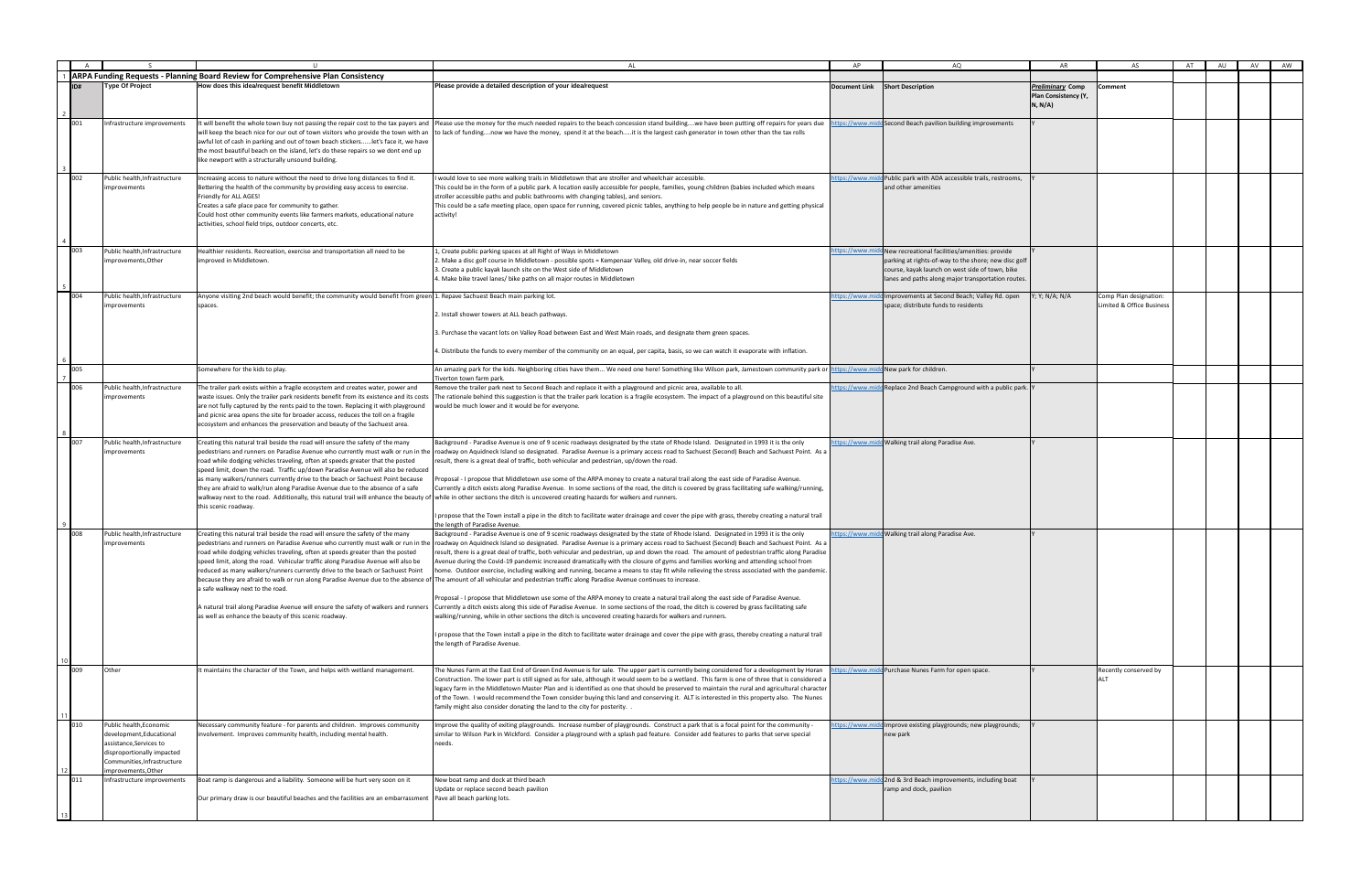| A                                                                                                                                                                  |                                                                                                                                                                                                                                                                                                                                                                                                                                                                                                                                                                                                            | AL                                                                                                                                                                                                                                                                                                                                                                                                                                                                                                                                                                                                                                                                                                                                                                                                                                                                                                                                                                                                                                                                                                                                                                                                                                                                                                                                                                                                                                                                                             | AP                   | AQ                                                                                                                                                                                                              | AR                                                        | AS                                                  | AT | AU | AV<br>AW |
|--------------------------------------------------------------------------------------------------------------------------------------------------------------------|------------------------------------------------------------------------------------------------------------------------------------------------------------------------------------------------------------------------------------------------------------------------------------------------------------------------------------------------------------------------------------------------------------------------------------------------------------------------------------------------------------------------------------------------------------------------------------------------------------|------------------------------------------------------------------------------------------------------------------------------------------------------------------------------------------------------------------------------------------------------------------------------------------------------------------------------------------------------------------------------------------------------------------------------------------------------------------------------------------------------------------------------------------------------------------------------------------------------------------------------------------------------------------------------------------------------------------------------------------------------------------------------------------------------------------------------------------------------------------------------------------------------------------------------------------------------------------------------------------------------------------------------------------------------------------------------------------------------------------------------------------------------------------------------------------------------------------------------------------------------------------------------------------------------------------------------------------------------------------------------------------------------------------------------------------------------------------------------------------------|----------------------|-----------------------------------------------------------------------------------------------------------------------------------------------------------------------------------------------------------------|-----------------------------------------------------------|-----------------------------------------------------|----|----|----------|
|                                                                                                                                                                    |                                                                                                                                                                                                                                                                                                                                                                                                                                                                                                                                                                                                            |                                                                                                                                                                                                                                                                                                                                                                                                                                                                                                                                                                                                                                                                                                                                                                                                                                                                                                                                                                                                                                                                                                                                                                                                                                                                                                                                                                                                                                                                                                |                      |                                                                                                                                                                                                                 |                                                           |                                                     |    |    |          |
|                                                                                                                                                                    | ARPA Funding Requests - Planning Board Review for Comprehensive Plan Consistency                                                                                                                                                                                                                                                                                                                                                                                                                                                                                                                           |                                                                                                                                                                                                                                                                                                                                                                                                                                                                                                                                                                                                                                                                                                                                                                                                                                                                                                                                                                                                                                                                                                                                                                                                                                                                                                                                                                                                                                                                                                |                      |                                                                                                                                                                                                                 |                                                           |                                                     |    |    |          |
| <b>Type Of Project</b>                                                                                                                                             | How does this idea/request benefit Middletown                                                                                                                                                                                                                                                                                                                                                                                                                                                                                                                                                              | Please provide a detailed description of your idea/request                                                                                                                                                                                                                                                                                                                                                                                                                                                                                                                                                                                                                                                                                                                                                                                                                                                                                                                                                                                                                                                                                                                                                                                                                                                                                                                                                                                                                                     | Document Link        | <b>Short Description</b>                                                                                                                                                                                        | <b>Preliminary Comp</b><br>Plan Consistency (Y,<br>N, N/A | Comment                                             |    |    |          |
| Infrastructure improvements                                                                                                                                        | t will benefit the whole town buy not passing the repair cost to the tax payers and<br>will keep the beach nice for our out of town visitors who provide the town with an<br>awful lot of cash in parking and out of town beach stickerslet's face it, we have<br>the most beautiful beach on the island, let's do these repairs so we dont end up<br>like newport with a structurally unsound building.                                                                                                                                                                                                   | Please use the money for the much needed repairs to the beach concession stand buildingwe have been putting off repairs for years due<br>to lack of fundingnow we have the money, spend it at the beachit is the largest cash generator in town other than the tax rolls                                                                                                                                                                                                                                                                                                                                                                                                                                                                                                                                                                                                                                                                                                                                                                                                                                                                                                                                                                                                                                                                                                                                                                                                                       | ttps://www.mi        | Second Beach pavilion building improvements                                                                                                                                                                     |                                                           |                                                     |    |    |          |
| Public health, Infrastructure<br>improvements                                                                                                                      | Increasing access to nature without the need to drive long distances to find it.<br>Bettering the health of the community by providing easy access to exercise.<br>Friendly for ALL AGES!<br>Creates a safe place pace for community to gather.<br>Could host other community events like farmers markets, educational nature<br>activities, school field trips, outdoor concerts, etc.                                                                                                                                                                                                                    | I would love to see more walking trails in Middletown that are stroller and wheelchair accessible.<br>This could be in the form of a public park. A location easily accessible for people, families, young children (babies included which means<br>stroller accessible paths and public bathrooms with changing tables), and seniors.<br>This could be a safe meeting place, open space for running, covered picnic tables, anything to help people be in nature and getting physical<br>activity!                                                                                                                                                                                                                                                                                                                                                                                                                                                                                                                                                                                                                                                                                                                                                                                                                                                                                                                                                                                            |                      | ttps://www.midd Public park with ADA accessible trails, restrooms,<br>and other amenities                                                                                                                       |                                                           |                                                     |    |    |          |
| Public health, Infrastructure<br>improvements,Other                                                                                                                | Healthier residents. Recreation, exercise and transportation all need to be<br>improved in Middletown.                                                                                                                                                                                                                                                                                                                                                                                                                                                                                                     | L, Create public parking spaces at all Right of Ways in Middletown<br>2. Make a disc golf course in Middletown - possible spots = Kempenaar Valley, old drive-in, near soccer fields<br>3. Create a public kayak launch site on the West side of Middletown<br>1. Make bike travel lanes/ bike paths on all major routes in Middletown                                                                                                                                                                                                                                                                                                                                                                                                                                                                                                                                                                                                                                                                                                                                                                                                                                                                                                                                                                                                                                                                                                                                                         | tps://www.mi         | New recreational facilities/amenities: provide<br>parking at rights-of-way to the shore; new disc golf<br>course, kayak launch on west side of town, bike<br>lanes and paths along major transportation routes. |                                                           |                                                     |    |    |          |
| 004<br>Public health, Infrastructure<br>mprovements                                                                                                                | Anyone visiting 2nd beach would benefit; the community would benefit from greer<br>spaces.                                                                                                                                                                                                                                                                                                                                                                                                                                                                                                                 | 1. Repave Sachuest Beach main parking lot.<br>2. Install shower towers at ALL beach pathways.<br>3. Purchase the vacant lots on Valley Road between East and West Main roads, and designate them green spaces.<br>1. Distribute the funds to every member of the community on an equal, per capita, basis, so we can watch it evaporate with inflation.                                                                                                                                                                                                                                                                                                                                                                                                                                                                                                                                                                                                                                                                                                                                                                                                                                                                                                                                                                                                                                                                                                                                        | ttps://www.mid       | c Improvements at Second Beach; Valley Rd. open<br>space; distribute funds to residents                                                                                                                         | /; Υ; N/A; N/A                                            | Comp Plan designation:<br>Limited & Office Business |    |    |          |
| 005                                                                                                                                                                | Somewhere for the kids to play.                                                                                                                                                                                                                                                                                                                                                                                                                                                                                                                                                                            | An amazing park for the kids. Neighboring cities have them We need one here! Something like Wilson park, Jamestown community park or <b> h</b><br>Tiverton town farm park.                                                                                                                                                                                                                                                                                                                                                                                                                                                                                                                                                                                                                                                                                                                                                                                                                                                                                                                                                                                                                                                                                                                                                                                                                                                                                                                     | ittps://www.mi       | do New park for children.                                                                                                                                                                                       |                                                           |                                                     |    |    |          |
| 006<br>Public health, Infrastructure<br>mprovements                                                                                                                | The trailer park exists within a fragile ecosystem and creates water, power and<br>waste issues. Only the trailer park residents benefit from its existence and its costs<br>are not fully captured by the rents paid to the town. Replacing it with playground<br>and picnic area opens the site for broader access, reduces the toll on a fragile<br>ecosystem and enhances the preservation and beauty of the Sachuest area.                                                                                                                                                                            | Remove the trailer park next to Second Beach and replace it with a playground and picnic area, available to all.<br>The rationale behind this suggestion is that the trailer park location is a fragile ecosystem. The impact of a playground on this beautiful site<br>would be much lower and it would be for everyone.                                                                                                                                                                                                                                                                                                                                                                                                                                                                                                                                                                                                                                                                                                                                                                                                                                                                                                                                                                                                                                                                                                                                                                      | ttps://www.mi        | Replace 2nd Beach Campground with a public park.                                                                                                                                                                |                                                           |                                                     |    |    |          |
| Public health, Infrastructure<br>mprovements                                                                                                                       | Creating this natural trail beside the road will ensure the safety of the many<br>pedestrians and runners on Paradise Avenue who currently must walk or run in the<br>road while dodging vehicles traveling, often at speeds greater that the posted<br>speed limit, down the road. Traffic up/down Paradise Avenue will also be reduced<br>as many walkers/runners currently drive to the beach or Sachuest Point because<br>they are afraid to walk/run along Paradise Avenue due to the absence of a safe<br>this scenic roadway.                                                                       | Background - Paradise Avenue is one of 9 scenic roadways designated by the state of Rhode Island. Designated in 1993 it is the only<br>roadway on Aquidneck Island so designated. Paradise Avenue is a primary access road to Sachuest (Second) Beach and Sachuest Point. As a<br>result, there is a great deal of traffic, both vehicular and pedestrian, up/down the road.<br>Proposal - I propose that Middletown use some of the ARPA money to create a natural trail along the east side of Paradise Avenue.<br>Currently a ditch exists along Paradise Avenue. In some sections of the road, the ditch is covered by grass facilitating safe walking/running,<br>walkway next to the road. Additionally, this natural trail will enhance the beauty of while in other sections the ditch is uncovered creating hazards for walkers and runners.<br>I propose that the Town install a pipe in the ditch to facilitate water drainage and cover the pipe with grass, thereby creating a natural trail<br>the length of Paradise Avenue.                                                                                                                                                                                                                                                                                                                                                                                                                                                    | tps://www.mi         | Walking trail along Paradise Ave.                                                                                                                                                                               |                                                           |                                                     |    |    |          |
| Public health, Infrastructure<br>improvements                                                                                                                      | Creating this natural trail beside the road will ensure the safety of the many<br>pedestrians and runners on Paradise Avenue who currently must walk or run in the<br>road while dodging vehicles traveling, often at speeds greater than the posted<br>peed limit, along the road. Vehicular traffic along Paradise Avenue will also be<br>reduced as many walkers/runners currently drive to the beach or Sachuest Point<br>safe walkway next to the road.<br>natural trail along Paradise Avenue will ensure the safety of walkers and runners<br>as well as enhance the beauty of this scenic roadway. | Background - Paradise Avenue is one of 9 scenic roadways designated by the state of Rhode Island. Designated in 1993 it is the only<br>roadway on Aquidneck Island so designated. Paradise Avenue is a primary access road to Sachuest (Second) Beach and Sachuest Point. As a<br>result, there is a great deal of traffic, both vehicular and pedestrian, up and down the road. The amount of pedestrian traffic along Paradise<br>Avenue during the Covid-19 pandemic increased dramatically with the closure of gyms and families working and attending school from<br>home. Outdoor exercise, including walking and running, became a means to stay fit while relieving the stress associated with the pandemic.<br>because they are afraid to walk or run along Paradise Avenue due to the absence of The amount of all vehicular and pedestrian traffic along Paradise Avenue continues to increase.<br>Proposal - I propose that Middletown use some of the ARPA money to create a natural trail along the east side of Paradise Avenue.<br>Currently a ditch exists along this side of Paradise Avenue. In some sections of the road, the ditch is covered by grass facilitating safe<br>walking/running, while in other sections the ditch is uncovered creating hazards for walkers and runners.<br>propose that the Town install a pipe in the ditch to facilitate water drainage and cover the pipe with grass, thereby creating a natural trail<br>the length of Paradise Avenue. | tps://www.mi         | Walking trail along Paradise Ave.                                                                                                                                                                               |                                                           |                                                     |    |    |          |
| 009<br>Other                                                                                                                                                       | It maintains the character of the Town, and helps with wetland management.                                                                                                                                                                                                                                                                                                                                                                                                                                                                                                                                 | The Nunes Farm at the East End of Green End Avenue is for sale. The upper part is currently being considered for a development by Horan<br>Construction. The lower part is still signed as for sale, although it would seem to be a wetland. This farm is one of three that is considered a<br>legacy farm in the Middletown Master Plan and is identified as one that should be preserved to maintain the rural and agricultural character<br>of the Town. I would recommend the Town consider buying this land and conserving it. ALT is interested in this property also. The Nunes<br>family might also consider donating the land to the city for posterity. .                                                                                                                                                                                                                                                                                                                                                                                                                                                                                                                                                                                                                                                                                                                                                                                                                            |                      | ttps://www.midd Purchase Nunes Farm for open space.                                                                                                                                                             |                                                           | Recently conserved by                               |    |    |          |
| Public health, Economic<br>development, Educational<br>assistance, Services to<br>disproportionally impacted<br>Communities, Infrastructure<br>improvements, Other | Necessary community feature - for parents and children. Improves community<br>involvement. Improves community health, including mental health.                                                                                                                                                                                                                                                                                                                                                                                                                                                             | Improve the quality of exiting playgrounds. Increase number of playgrounds. Construct a park that is a focal point for the community -<br>similar to Wilson Park in Wickford. Consider a playground with a splash pad feature. Consider add features to parks that serve special<br>needs.                                                                                                                                                                                                                                                                                                                                                                                                                                                                                                                                                                                                                                                                                                                                                                                                                                                                                                                                                                                                                                                                                                                                                                                                     | <u>ttps://www.mi</u> | Improve existing playgrounds; new playgrounds;<br>new park                                                                                                                                                      |                                                           |                                                     |    |    |          |
| Infrastructure improvements                                                                                                                                        | Boat ramp is dangerous and a liability. Someone will be hurt very soon on it<br>Our primary draw is our beautiful beaches and the facilities are an embarrassment                                                                                                                                                                                                                                                                                                                                                                                                                                          | New boat ramp and dock at third beach<br>Update or replace second beach pavilion<br>Pave all beach parking lots.                                                                                                                                                                                                                                                                                                                                                                                                                                                                                                                                                                                                                                                                                                                                                                                                                                                                                                                                                                                                                                                                                                                                                                                                                                                                                                                                                                               | ttps://www.mi        | c 2nd & 3rd Beach improvements, including boat<br>ramp and dock, pavilion                                                                                                                                       |                                                           |                                                     |    |    |          |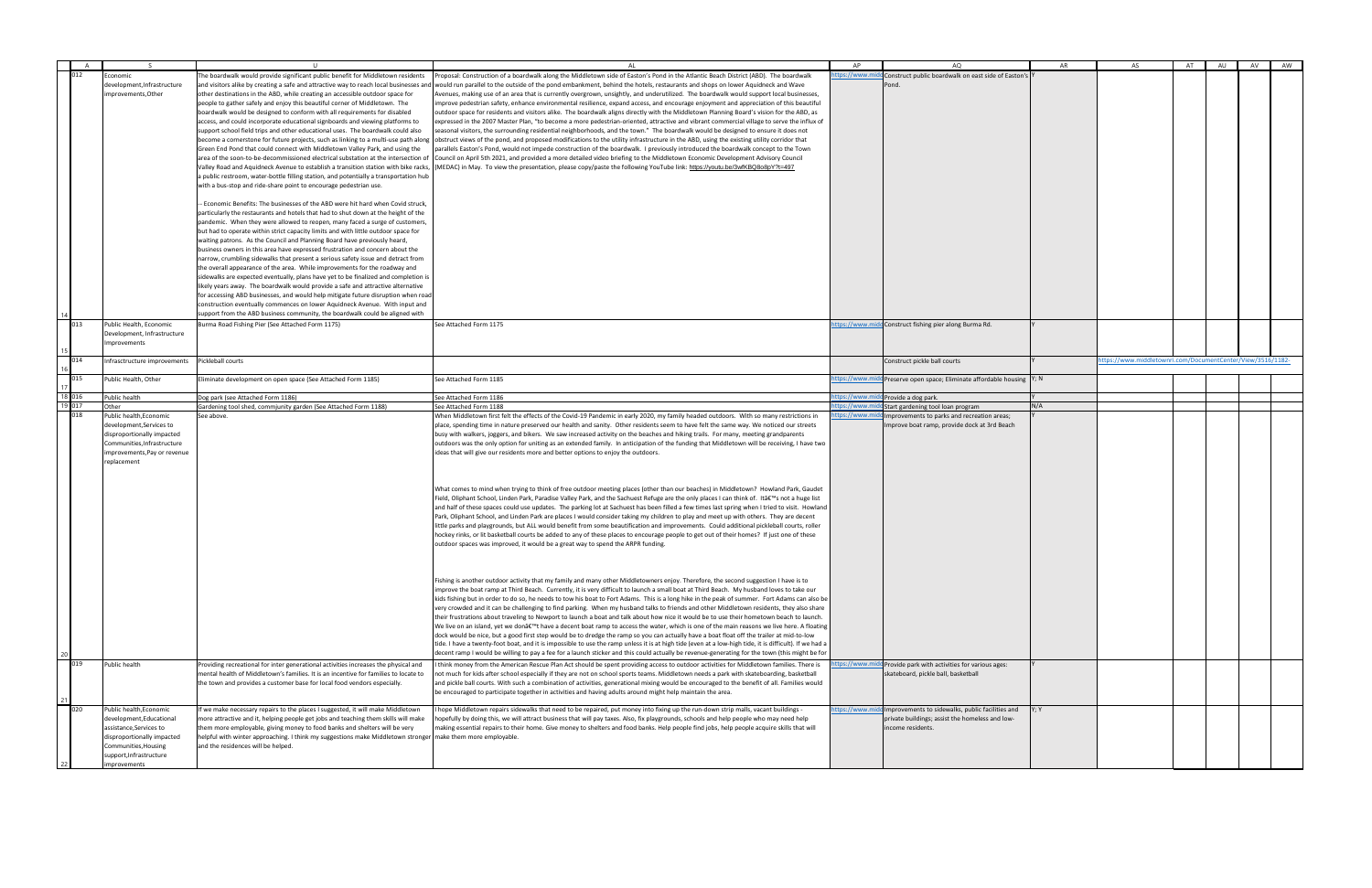|        |                              | - U                                                                                                         | AL                                                                                                                                                      | AP          | AO                                                             | AR   | AS                                                         | AT | AU | AV | AW |
|--------|------------------------------|-------------------------------------------------------------------------------------------------------------|---------------------------------------------------------------------------------------------------------------------------------------------------------|-------------|----------------------------------------------------------------|------|------------------------------------------------------------|----|----|----|----|
| 012    | Economic                     | The boardwalk would provide significant public benefit for Middletown residents                             | Proposal: Construction of a boardwalk along the Middletown side of Easton's Pond in the Atlantic Beach District (ABD). The boardwalk                    | tps://www.n | Construct public boardwalk on east side of Easton's            |      |                                                            |    |    |    |    |
|        | development, Infrastructure  | and visitors alike by creating a safe and attractive way to reach local businesses an                       | would run parallel to the outside of the pond embankment, behind the hotels, restaurants and shops on lower Aquidneck and Wave                          |             | Pond.                                                          |      |                                                            |    |    |    |    |
|        | improvements, Other          | other destinations in the ABD, while creating an accessible outdoor space for                               | Avenues, making use of an area that is currently overgrown, unsightly, and underutilized. The boardwalk would support local businesses,                 |             |                                                                |      |                                                            |    |    |    |    |
|        |                              | people to gather safely and enjoy this beautiful corner of Middletown. The                                  | improve pedestrian safety, enhance environmental resilience, expand access, and encourage enjoyment and appreciation of this beautiful                  |             |                                                                |      |                                                            |    |    |    |    |
|        |                              | boardwalk would be designed to conform with all requirements for disabled                                   | outdoor space for residents and visitors alike. The boardwalk aligns directly with the Middletown Planning Board's vision for the ABD, as               |             |                                                                |      |                                                            |    |    |    |    |
|        |                              | access, and could incorporate educational signboards and viewing platforms to                               | expressed in the 2007 Master Plan, "to become a more pedestrian-oriented, attractive and vibrant commercial village to serve the influx of              |             |                                                                |      |                                                            |    |    |    |    |
|        |                              | support school field trips and other educational uses. The boardwalk could also                             | seasonal visitors, the surrounding residential neighborhoods, and the town." The boardwalk would be designed to ensure it does not                      |             |                                                                |      |                                                            |    |    |    |    |
|        |                              | become a cornerstone for future projects, such as linking to a multi-use path along                         | obstruct views of the pond, and proposed modifications to the utility infrastructure in the ABD, using the existing utility corridor that               |             |                                                                |      |                                                            |    |    |    |    |
|        |                              | Green End Pond that could connect with Middletown Valley Park, and using the                                | parallels Easton's Pond, would not impede construction of the boardwalk. I previously introduced the boardwalk concept to the Town                      |             |                                                                |      |                                                            |    |    |    |    |
|        |                              | area of the soon-to-be-decommissioned electrical substation at the intersection of                          | Council on April 5th 2021, and provided a more detailed video briefing to the Middletown Economic Development Advisory Council                          |             |                                                                |      |                                                            |    |    |    |    |
|        |                              | Valley Road and Aquidneck Avenue to establish a transition station with bike racks                          | (MEDAC) in May. To view the presentation, please copy/paste the following YouTube link: https://youtu.be/3wfKBQ8o8pY?t=497                              |             |                                                                |      |                                                            |    |    |    |    |
|        |                              | a public restroom, water-bottle filling station, and potentially a transportation hub                       |                                                                                                                                                         |             |                                                                |      |                                                            |    |    |    |    |
|        |                              | with a bus-stop and ride-share point to encourage pedestrian use.                                           |                                                                                                                                                         |             |                                                                |      |                                                            |    |    |    |    |
|        |                              |                                                                                                             |                                                                                                                                                         |             |                                                                |      |                                                            |    |    |    |    |
|        |                              | Economic Benefits: The businesses of the ABD were hit hard when Covid struck,                               |                                                                                                                                                         |             |                                                                |      |                                                            |    |    |    |    |
|        |                              | particularly the restaurants and hotels that had to shut down at the height of the                          |                                                                                                                                                         |             |                                                                |      |                                                            |    |    |    |    |
|        |                              | pandemic. When they were allowed to reopen, many faced a surge of customers,                                |                                                                                                                                                         |             |                                                                |      |                                                            |    |    |    |    |
|        |                              | but had to operate within strict capacity limits and with little outdoor space for                          |                                                                                                                                                         |             |                                                                |      |                                                            |    |    |    |    |
|        |                              | waiting patrons. As the Council and Planning Board have previously heard,                                   |                                                                                                                                                         |             |                                                                |      |                                                            |    |    |    |    |
|        |                              | business owners in this area have expressed frustration and concern about the                               |                                                                                                                                                         |             |                                                                |      |                                                            |    |    |    |    |
|        |                              | narrow, crumbling sidewalks that present a serious safety issue and detract from                            |                                                                                                                                                         |             |                                                                |      |                                                            |    |    |    |    |
|        |                              | the overall appearance of the area. While improvements for the roadway and                                  |                                                                                                                                                         |             |                                                                |      |                                                            |    |    |    |    |
|        |                              | sidewalks are expected eventually, plans have yet to be finalized and completion is                         |                                                                                                                                                         |             |                                                                |      |                                                            |    |    |    |    |
|        |                              | likely years away. The boardwalk would provide a safe and attractive alternative                            |                                                                                                                                                         |             |                                                                |      |                                                            |    |    |    |    |
|        |                              | for accessing ABD businesses, and would help mitigate future disruption when road                           |                                                                                                                                                         |             |                                                                |      |                                                            |    |    |    |    |
|        |                              | construction eventually commences on lower Aquidneck Avenue. With input and                                 |                                                                                                                                                         |             |                                                                |      |                                                            |    |    |    |    |
|        |                              | support from the ABD business community, the boardwalk could be aligned with                                |                                                                                                                                                         |             |                                                                |      |                                                            |    |    |    |    |
| 013    | Public Health, Economic      | Burma Road Fishing Pier (See Attached Form 1175)                                                            | See Attached Form 1175                                                                                                                                  |             | ttps://www.middConstruct fishing pier along Burma Rd.          |      |                                                            |    |    |    |    |
|        | Development, Infrastructure  |                                                                                                             |                                                                                                                                                         |             |                                                                |      |                                                            |    |    |    |    |
|        | Improvements                 |                                                                                                             |                                                                                                                                                         |             |                                                                |      |                                                            |    |    |    |    |
|        |                              |                                                                                                             |                                                                                                                                                         |             |                                                                |      |                                                            |    |    |    |    |
| 014    | Infrasctructure improvements | Pickleball courts                                                                                           |                                                                                                                                                         |             | Construct pickle ball courts                                   |      | ttps://www.middletownri.com/DocumentCenter/View/3516/1182- |    |    |    |    |
| 015    | Public Health, Other         | Iliminate development on open space (See Attached Form 1185)                                                | See Attached Form 1185                                                                                                                                  |             |                                                                |      |                                                            |    |    |    |    |
|        |                              |                                                                                                             |                                                                                                                                                         | tps://www.m | Preserve open space; Eliminate affordable housing Y; N         |      |                                                            |    |    |    |    |
| 18 016 | Public health                | Dog park (see Attached Form 1186)                                                                           | See Attached Form 1186                                                                                                                                  |             | ttps://www.midc Provide a dog park.                            |      |                                                            |    |    |    |    |
| 19 017 | Other                        | Gardening tool shed, commjunity garden (See Attached Form 1188)                                             | See Attached Form 1188                                                                                                                                  |             | ttps://www.midd Start gardening tool loan program              | N/A  |                                                            |    |    |    |    |
| 018    | Public health, Economic      | See above.                                                                                                  | When Middletown first felt the effects of the Covid-19 Pandemic in early 2020, my family headed outdoors. With so many restrictions in                  |             | tps://www.middlmprovements to parks and recreation areas;      |      |                                                            |    |    |    |    |
|        | development, Services to     |                                                                                                             | place, spending time in nature preserved our health and sanity. Other residents seem to have felt the same way. We noticed our streets                  |             | mprove boat ramp, provide dock at 3rd Beach                    |      |                                                            |    |    |    |    |
|        | disproportionally impacted   |                                                                                                             | busy with walkers, joggers, and bikers. We saw increased activity on the beaches and hiking trails. For many, meeting grandparents                      |             |                                                                |      |                                                            |    |    |    |    |
|        | Communities, Infrastructure  |                                                                                                             | outdoors was the only option for uniting as an extended family. In anticipation of the funding that Middletown will be receiving, I have two            |             |                                                                |      |                                                            |    |    |    |    |
|        | improvements, Pay or revenue |                                                                                                             | ideas that will give our residents more and better options to enjoy the outdoors.                                                                       |             |                                                                |      |                                                            |    |    |    |    |
|        | replacement                  |                                                                                                             |                                                                                                                                                         |             |                                                                |      |                                                            |    |    |    |    |
|        |                              |                                                                                                             |                                                                                                                                                         |             |                                                                |      |                                                            |    |    |    |    |
|        |                              |                                                                                                             |                                                                                                                                                         |             |                                                                |      |                                                            |    |    |    |    |
|        |                              |                                                                                                             | What comes to mind when trying to think of free outdoor meeting places (other than our beaches) in Middletown? Howland Park, Gaudet                     |             |                                                                |      |                                                            |    |    |    |    |
|        |                              |                                                                                                             | Field, Oliphant School, Linden Park, Paradise Valley Park, and the Sachuest Refuge are the only places I can think of. It's not a huge list             |             |                                                                |      |                                                            |    |    |    |    |
|        |                              |                                                                                                             | and half of these spaces could use updates. The parking lot at Sachuest has been filled a few times last spring when I tried to visit. Howland          |             |                                                                |      |                                                            |    |    |    |    |
|        |                              |                                                                                                             | Park, Oliphant School, and Linden Park are places I would consider taking my children to play and meet up with others. They are decent                  |             |                                                                |      |                                                            |    |    |    |    |
|        |                              |                                                                                                             | little parks and playgrounds, but ALL would benefit from some beautification and improvements. Could additional pickleball courts, roller               |             |                                                                |      |                                                            |    |    |    |    |
|        |                              |                                                                                                             | hockey rinks, or lit basketball courts be added to any of these places to encourage people to get out of their homes? If just one of these              |             |                                                                |      |                                                            |    |    |    |    |
|        |                              |                                                                                                             | outdoor spaces was improved, it would be a great way to spend the ARPR funding.                                                                         |             |                                                                |      |                                                            |    |    |    |    |
|        |                              |                                                                                                             |                                                                                                                                                         |             |                                                                |      |                                                            |    |    |    |    |
|        |                              |                                                                                                             |                                                                                                                                                         |             |                                                                |      |                                                            |    |    |    |    |
|        |                              |                                                                                                             |                                                                                                                                                         |             |                                                                |      |                                                            |    |    |    |    |
|        |                              |                                                                                                             | Fishing is another outdoor activity that my family and many other Middletowners enjoy. Therefore, the second suggestion I have is to                    |             |                                                                |      |                                                            |    |    |    |    |
|        |                              |                                                                                                             | mprove the boat ramp at Third Beach. Currently, it is very difficult to launch a small boat at Third Beach. My husband loves to take our                |             |                                                                |      |                                                            |    |    |    |    |
|        |                              |                                                                                                             | kids fishing but in order to do so, he needs to tow his boat to Fort Adams. This is a long hike in the peak of summer. Fort Adams can also be           |             |                                                                |      |                                                            |    |    |    |    |
|        |                              |                                                                                                             | very crowded and it can be challenging to find parking. When my husband talks to friends and other Middletown residents, they also share                |             |                                                                |      |                                                            |    |    |    |    |
|        |                              |                                                                                                             | their frustrations about traveling to Newport to launch a boat and talk about how nice it would be to use their hometown beach to launch.               |             |                                                                |      |                                                            |    |    |    |    |
|        |                              |                                                                                                             | We live on an island, yet we don't have a decent boat ramp to access the water, which is one of the main reasons we live here. A floating               |             |                                                                |      |                                                            |    |    |    |    |
|        |                              |                                                                                                             | dock would be nice, but a good first step would be to dredge the ramp so you can actually have a boat float off the trailer at mid-to-low               |             |                                                                |      |                                                            |    |    |    |    |
|        |                              |                                                                                                             | tide. I have a twenty-foot boat, and it is impossible to use the ramp unless it is at high tide (even at a low-high tide, it is difficult). If we had a |             |                                                                |      |                                                            |    |    |    |    |
|        |                              |                                                                                                             | decent ramp I would be willing to pay a fee for a launch sticker and this could actually be revenue-generating for the town (this might be for          |             |                                                                |      |                                                            |    |    |    |    |
| 019    | Public health                | Providing recreational for inter generational activities increases the physical and                         | I think money from the American Rescue Plan Act should be spent providing access to outdoor activities for Middletown families. There is                |             | tps://www.midc Provide park with activities for various ages:  |      |                                                            |    |    |    |    |
|        |                              | mental health of Middletown's families. It is an incentive for families to locate to                        | not much for kids after school especially if they are not on school sports teams. Middletown needs a park with skateboarding, basketball                |             | skateboard, pickle ball, basketball                            |      |                                                            |    |    |    |    |
|        |                              | the town and provides a customer base for local food vendors especially.                                    | and pickle ball courts. With such a combination of activities, generational mixing would be encouraged to the benefit of all. Families would            |             |                                                                |      |                                                            |    |    |    |    |
|        |                              |                                                                                                             | be encouraged to participate together in activities and having adults around might help maintain the area.                                              |             |                                                                |      |                                                            |    |    |    |    |
|        |                              |                                                                                                             |                                                                                                                                                         |             |                                                                |      |                                                            |    |    |    |    |
|        | Public health, Economic      | f we make necessary repairs to the places I suggested, it will make Middletown                              | hope Middletown repairs sidewalks that need to be repaired, put money into fixing up the run-down strip malls, vacant buildings -                       |             | ps://www.midd Improvements to sidewalks, public facilities and | Y; Y |                                                            |    |    |    |    |
|        | development, Educational     | more attractive and it, helping people get jobs and teaching them skills will make                          | hopefully by doing this, we will attract business that will pay taxes. Also, fix playgrounds, schools and help people who may need help                 |             | private buildings; assist the homeless and low-                |      |                                                            |    |    |    |    |
|        | assistance, Services to      | them more employable, giving money to food banks and shelters will be very                                  | making essential repairs to their home. Give money to shelters and food banks. Help people find jobs, help people acquire skills that will              |             | income residents.                                              |      |                                                            |    |    |    |    |
|        | disproportionally impacted   | helpful with winter approaching. I think my suggestions make Middletown stronger make them more employable. |                                                                                                                                                         |             |                                                                |      |                                                            |    |    |    |    |
|        | Communities, Housing         | and the residences will be helped.                                                                          |                                                                                                                                                         |             |                                                                |      |                                                            |    |    |    |    |
|        | support, Infrastructure      |                                                                                                             |                                                                                                                                                         |             |                                                                |      |                                                            |    |    |    |    |
|        | mprovements                  |                                                                                                             |                                                                                                                                                         |             |                                                                |      |                                                            |    |    |    |    |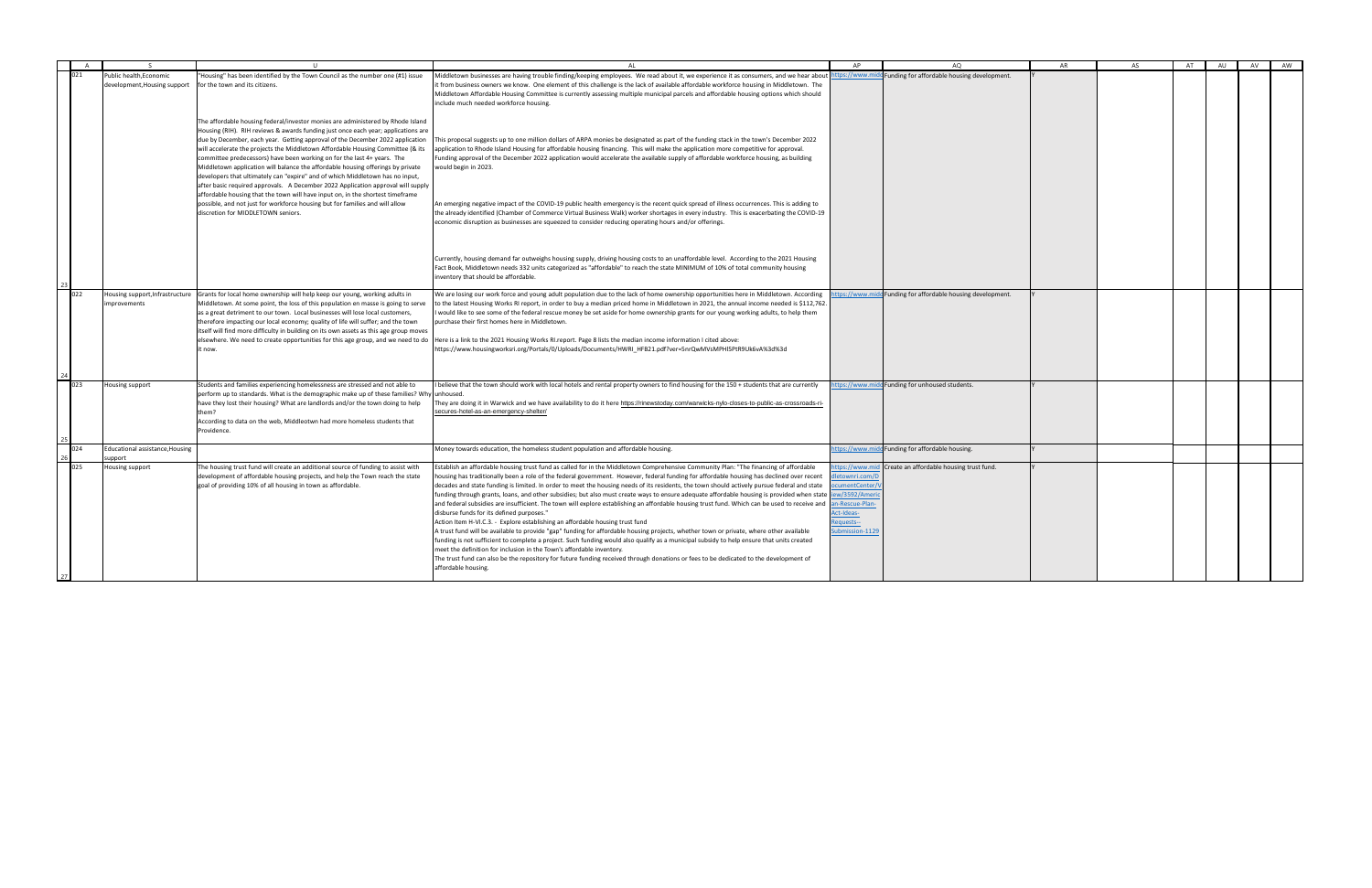|     |                                        |                                                                                        | $\Delta$ l                                                                                                                                    | AP             | AO.                                                        | AR | AS | AT | AU | AV | AW |
|-----|----------------------------------------|----------------------------------------------------------------------------------------|-----------------------------------------------------------------------------------------------------------------------------------------------|----------------|------------------------------------------------------------|----|----|----|----|----|----|
|     | Public health, Economic                | 'Housing" has been identified by the Town Council as the number one (#1) issue         | Middletown businesses are having trouble finding/keeping employees. We read about it, we experience it as consumers, and we hear about        |                | tps://www.midd Funding for affordable housing development. |    |    |    |    |    |    |
|     | development, Housing support           | for the town and its citizens.                                                         | it from business owners we know. One element of this challenge is the lack of available affordable workforce housing in Middletown. The       |                |                                                            |    |    |    |    |    |    |
|     |                                        |                                                                                        | Middletown Affordable Housing Committee is currently assessing multiple municipal parcels and affordable housing options which should         |                |                                                            |    |    |    |    |    |    |
|     |                                        |                                                                                        | include much needed workforce housing.                                                                                                        |                |                                                            |    |    |    |    |    |    |
|     |                                        |                                                                                        |                                                                                                                                               |                |                                                            |    |    |    |    |    |    |
|     |                                        | The affordable housing federal/investor monies are administered by Rhode Island        |                                                                                                                                               |                |                                                            |    |    |    |    |    |    |
|     |                                        | Housing (RIH). RIH reviews & awards funding just once each year; applications are      |                                                                                                                                               |                |                                                            |    |    |    |    |    |    |
|     |                                        |                                                                                        |                                                                                                                                               |                |                                                            |    |    |    |    |    |    |
|     |                                        | due by December, each year. Getting approval of the December 2022 application          | This proposal suggests up to one million dollars of ARPA monies be designated as part of the funding stack in the town's December 2022        |                |                                                            |    |    |    |    |    |    |
|     |                                        | will accelerate the projects the Middletown Affordable Housing Committee (& its        | application to Rhode Island Housing for affordable housing financing. This will make the application more competitive for approval.           |                |                                                            |    |    |    |    |    |    |
|     |                                        | committee predecessors) have been working on for the last 4+ years. The                | Funding approval of the December 2022 application would accelerate the available supply of affordable workforce housing, as building          |                |                                                            |    |    |    |    |    |    |
|     |                                        | Middletown application will balance the affordable housing offerings by private        | would begin in 2023.                                                                                                                          |                |                                                            |    |    |    |    |    |    |
|     |                                        | developers that ultimately can "expire" and of which Middletown has no input,          |                                                                                                                                               |                |                                                            |    |    |    |    |    |    |
|     |                                        | after basic required approvals. A December 2022 Application approval will supply       |                                                                                                                                               |                |                                                            |    |    |    |    |    |    |
|     |                                        | affordable housing that the town will have input on, in the shortest timeframe         |                                                                                                                                               |                |                                                            |    |    |    |    |    |    |
|     |                                        | possible, and not just for workforce housing but for families and will allow           | An emerging negative impact of the COVID-19 public health emergency is the recent quick spread of illness occurrences. This is adding to      |                |                                                            |    |    |    |    |    |    |
|     |                                        | discretion for MIDDLETOWN seniors.                                                     | the already identified (Chamber of Commerce Virtual Business Walk) worker shortages in every industry. This is exacerbating the COVID-19      |                |                                                            |    |    |    |    |    |    |
|     |                                        |                                                                                        | economic disruption as businesses are squeezed to consider reducing operating hours and/or offerings.                                         |                |                                                            |    |    |    |    |    |    |
|     |                                        |                                                                                        |                                                                                                                                               |                |                                                            |    |    |    |    |    |    |
|     |                                        |                                                                                        |                                                                                                                                               |                |                                                            |    |    |    |    |    |    |
|     |                                        |                                                                                        |                                                                                                                                               |                |                                                            |    |    |    |    |    |    |
|     |                                        |                                                                                        | Currently, housing demand far outweighs housing supply, driving housing costs to an unaffordable level. According to the 2021 Housing         |                |                                                            |    |    |    |    |    |    |
|     |                                        |                                                                                        | Fact Book, Middletown needs 332 units categorized as "affordable" to reach the state MINIMUM of 10% of total community housing                |                |                                                            |    |    |    |    |    |    |
|     |                                        |                                                                                        | inventory that should be affordable.                                                                                                          |                |                                                            |    |    |    |    |    |    |
|     |                                        |                                                                                        |                                                                                                                                               |                |                                                            |    |    |    |    |    |    |
| 022 | Housing support, Infrastructure        | Grants for local home ownership will help keep our young, working adults in            | We are losing our work force and young adult population due to the lack of home ownership opportunities here in Middletown. According         |                | tps://www.midd Funding for affordable housing development. |    |    |    |    |    |    |
|     | improvements                           | Middletown. At some point, the loss of this population en masse is going to serve      | to the latest Housing Works RI report, in order to buy a median priced home in Middletown in 2021, the annual income needed is \$112,762.     |                |                                                            |    |    |    |    |    |    |
|     |                                        | as a great detriment to our town. Local businesses will lose local customers,          | would like to see some of the federal rescue money be set aside for home ownership grants for our young working adults, to help them          |                |                                                            |    |    |    |    |    |    |
|     |                                        | therefore impacting our local economy; quality of life will suffer; and the town       | purchase their first homes here in Middletown.                                                                                                |                |                                                            |    |    |    |    |    |    |
|     |                                        |                                                                                        |                                                                                                                                               |                |                                                            |    |    |    |    |    |    |
|     |                                        | itself will find more difficulty in building on its own assets as this age group moves |                                                                                                                                               |                |                                                            |    |    |    |    |    |    |
|     |                                        | elsewhere. We need to create opportunities for this age group, and we need to do       | Here is a link to the 2021 Housing Works RI.report. Page 8 lists the median income information I cited above:                                 |                |                                                            |    |    |    |    |    |    |
|     |                                        | it now.                                                                                | https://www.housingworksri.org/Portals/0/Uploads/Documents/HWRI HFB21.pdf?ver=5nrQwMVsMPHI5PtR9Uk6vA%3d%3d                                    |                |                                                            |    |    |    |    |    |    |
|     |                                        |                                                                                        |                                                                                                                                               |                |                                                            |    |    |    |    |    |    |
|     |                                        |                                                                                        |                                                                                                                                               |                |                                                            |    |    |    |    |    |    |
|     |                                        |                                                                                        |                                                                                                                                               |                |                                                            |    |    |    |    |    |    |
| 023 | Housing support                        | Students and families experiencing homelessness are stressed and not able to           | believe that the town should work with local hotels and rental property owners to find housing for the 150 + students that are currently      |                | ttps://www.midd Funding for unhoused students              |    |    |    |    |    |    |
|     |                                        | perform up to standards. What is the demographic make up of these families? Wh         | unhoused.                                                                                                                                     |                |                                                            |    |    |    |    |    |    |
|     |                                        | have they lost their housing? What are landlords and/or the town doing to help         | They are doing it in Warwick and we have availability to do it here https://rinewstoday.com/warwicks-nylo-closes-to-public-as-crossroads-ri-  |                |                                                            |    |    |    |    |    |    |
|     |                                        | them?                                                                                  | secures-hotel-as-an-emergency-shelter/                                                                                                        |                |                                                            |    |    |    |    |    |    |
|     |                                        | According to data on the web, Middleotwn had more homeless students that               |                                                                                                                                               |                |                                                            |    |    |    |    |    |    |
|     |                                        | Providence.                                                                            |                                                                                                                                               |                |                                                            |    |    |    |    |    |    |
|     |                                        |                                                                                        |                                                                                                                                               |                |                                                            |    |    |    |    |    |    |
|     | <b>Educational assistance, Housing</b> |                                                                                        | Money towards education, the homeless student population and affordable housing.                                                              |                | ttps://www.middFunding for affordable housing.             |    |    |    |    |    |    |
|     | support                                |                                                                                        |                                                                                                                                               |                |                                                            |    |    |    |    |    |    |
| 025 | <b>Housing support</b>                 | The housing trust fund will create an additional source of funding to assist with      | Establish an affordable housing trust fund as called for in the Middletown Comprehensive Community Plan: "The financing of affordable         | tps://www.mi   | Create an affordable housing trust fund.                   |    |    |    |    |    |    |
|     |                                        | development of affordable housing projects, and help the Town reach the state          | housing has traditionally been a role of the federal government. However, federal funding for affordable housing has declined over recent     | etownri.com/D  |                                                            |    |    |    |    |    |    |
|     |                                        | goal of providing 10% of all housing in town as affordable.                            | decades and state funding is limited. In order to meet the housing needs of its residents, the town should actively pursue federal and state  | cumentCenter/' |                                                            |    |    |    |    |    |    |
|     |                                        |                                                                                        | funding through grants, loans, and other subsidies; but also must create ways to ensure adequate affordable housing is provided when state    | ew/3592/Ameri  |                                                            |    |    |    |    |    |    |
|     |                                        |                                                                                        | and federal subsidies are insufficient. The town will explore establishing an affordable housing trust fund. Which can be used to receive and | n-Rescue-Plan- |                                                            |    |    |    |    |    |    |
|     |                                        |                                                                                        | disburse funds for its defined purposes."                                                                                                     | Act-Ideas-     |                                                            |    |    |    |    |    |    |
|     |                                        |                                                                                        | Action Item H-VI.C.3. - Explore establishing an affordable housing trust fund                                                                 | equests--      |                                                            |    |    |    |    |    |    |
|     |                                        |                                                                                        | A trust fund will be available to provide "gap" funding for affordable housing projects, whether town or private, where other available       | ubmission-1129 |                                                            |    |    |    |    |    |    |
|     |                                        |                                                                                        | funding is not sufficient to complete a project. Such funding would also qualify as a municipal subsidy to help ensure that units created     |                |                                                            |    |    |    |    |    |    |
|     |                                        |                                                                                        | meet the definition for inclusion in the Town's affordable inventory.                                                                         |                |                                                            |    |    |    |    |    |    |
|     |                                        |                                                                                        | The trust fund can also be the repository for future funding received through donations or fees to be dedicated to the development of         |                |                                                            |    |    |    |    |    |    |
|     |                                        |                                                                                        | affordable housing.                                                                                                                           |                |                                                            |    |    |    |    |    |    |
|     |                                        |                                                                                        |                                                                                                                                               |                |                                                            |    |    |    |    |    |    |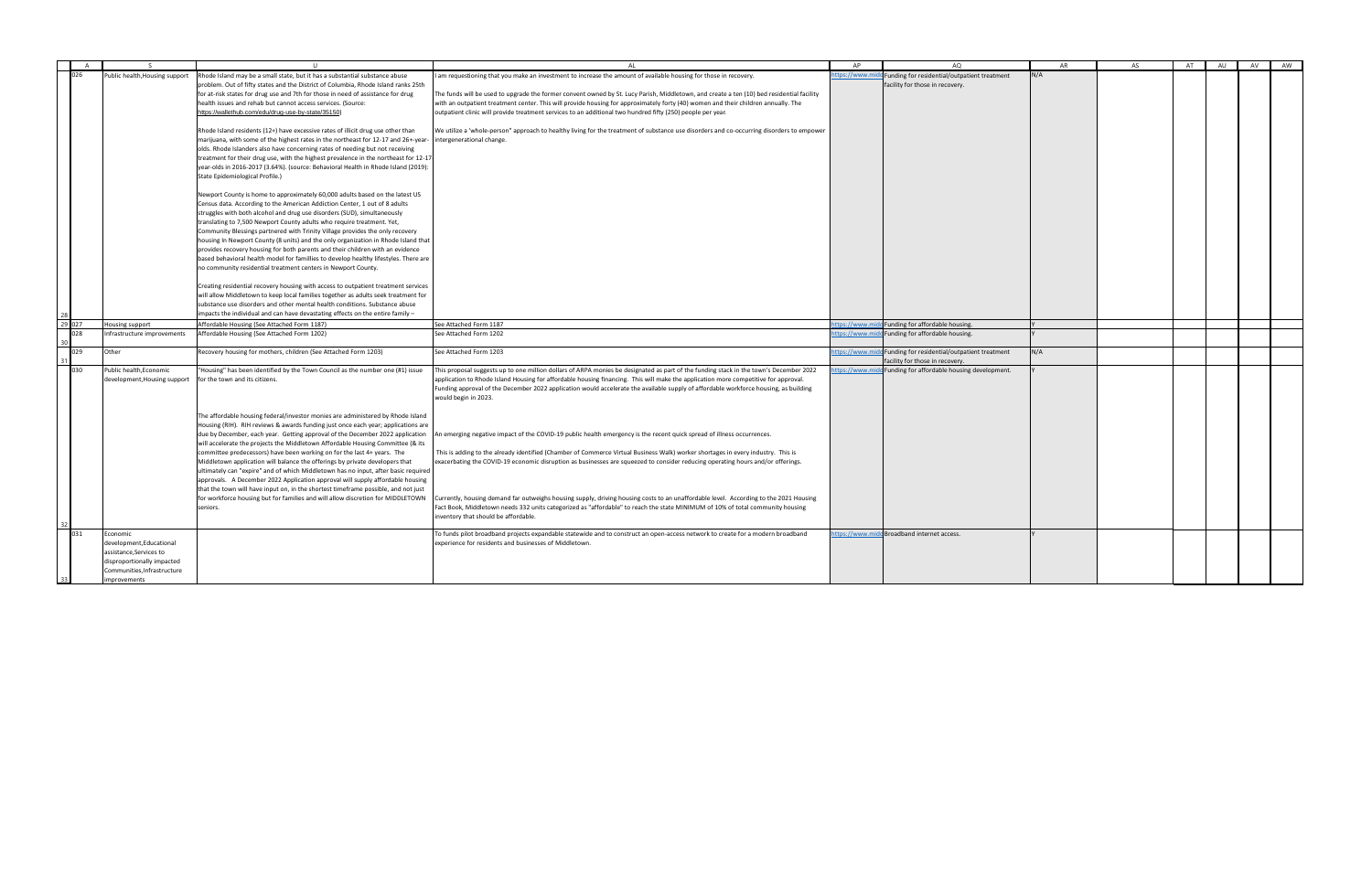| A                   |                                | $\mathbf{U}$                                                                         | AL                                                                                                                                        | AP             | AO.                                          | AR  | AS | AT | AU | AV I | AW |
|---------------------|--------------------------------|--------------------------------------------------------------------------------------|-------------------------------------------------------------------------------------------------------------------------------------------|----------------|----------------------------------------------|-----|----|----|----|------|----|
|                     | Public health, Housing support | Rhode Island may be a small state, but it has a substantial substance abuse          | am requestioning that you make an investment to increase the amount of available housing for those in recovery.                           | ttps://www.mic | Funding for residential/outpatient treatment | N/A |    |    |    |      |    |
|                     |                                | problem. Out of fifty states and the District of Columbia, Rhode Island ranks 25th   |                                                                                                                                           |                | facility for those in recovery.              |     |    |    |    |      |    |
|                     |                                | for at-risk states for drug use and 7th for those in need of assistance for drug     | The funds will be used to upgrade the former convent owned by St. Lucy Parish, Middletown, and create a ten (10) bed residential facility |                |                                              |     |    |    |    |      |    |
|                     |                                | health issues and rehab but cannot access services. (Source:                         | with an outpatient treatment center. This will provide housing for approximately forty (40) women and their children annually. The        |                |                                              |     |    |    |    |      |    |
|                     |                                | https://wallethub.com/edu/drug-use-by-state/35150)                                   | outpatient clinic will provide treatment services to an additional two hundred fifty (250) people per year.                               |                |                                              |     |    |    |    |      |    |
|                     |                                |                                                                                      |                                                                                                                                           |                |                                              |     |    |    |    |      |    |
|                     |                                | Rhode Island residents (12+) have excessive rates of illicit drug use other than     | We utilize a 'whole-person" approach to healthy living for the treatment of substance use disorders and co-occurring disorders to empower |                |                                              |     |    |    |    |      |    |
|                     |                                | marijuana, with some of the highest rates in the northeast for 12-17 and 26+-year-   | intergenerational change.                                                                                                                 |                |                                              |     |    |    |    |      |    |
|                     |                                |                                                                                      |                                                                                                                                           |                |                                              |     |    |    |    |      |    |
|                     |                                | olds. Rhode Islanders also have concerning rates of needing but not receiving        |                                                                                                                                           |                |                                              |     |    |    |    |      |    |
|                     |                                | reatment for their drug use, with the highest prevalence in the northeast for 12-17  |                                                                                                                                           |                |                                              |     |    |    |    |      |    |
|                     |                                | year-olds in 2016-2017 (3.64%). (source: Behavioral Health in Rhode Island (2019):   |                                                                                                                                           |                |                                              |     |    |    |    |      |    |
|                     |                                | State Epidemiological Profile.)                                                      |                                                                                                                                           |                |                                              |     |    |    |    |      |    |
|                     |                                |                                                                                      |                                                                                                                                           |                |                                              |     |    |    |    |      |    |
|                     |                                | Newport County is home to approximately 60,000 adults based on the latest US         |                                                                                                                                           |                |                                              |     |    |    |    |      |    |
|                     |                                | Census data. According to the American Addiction Center, 1 out of 8 adults           |                                                                                                                                           |                |                                              |     |    |    |    |      |    |
|                     |                                | struggles with both alcohol and drug use disorders (SUD), simultaneously             |                                                                                                                                           |                |                                              |     |    |    |    |      |    |
|                     |                                | translating to 7,500 Newport County adults who require treatment. Yet,               |                                                                                                                                           |                |                                              |     |    |    |    |      |    |
|                     |                                | Community Blessings partnered with Trinity Village provides the only recovery        |                                                                                                                                           |                |                                              |     |    |    |    |      |    |
|                     |                                | housing In Newport County (8 units) and the only organization in Rhode Island that   |                                                                                                                                           |                |                                              |     |    |    |    |      |    |
|                     |                                | provides recovery housing for both parents and their children with an evidence       |                                                                                                                                           |                |                                              |     |    |    |    |      |    |
|                     |                                | based behavioral health model for famillies to develop healthy lifestyles. There are |                                                                                                                                           |                |                                              |     |    |    |    |      |    |
|                     |                                | no community residential treatment centers in Newport County.                        |                                                                                                                                           |                |                                              |     |    |    |    |      |    |
|                     |                                |                                                                                      |                                                                                                                                           |                |                                              |     |    |    |    |      |    |
|                     |                                | Creating residential recovery housing with access to outpatient treatment services   |                                                                                                                                           |                |                                              |     |    |    |    |      |    |
|                     |                                | will allow Middletown to keep local families together as adults seek treatment for   |                                                                                                                                           |                |                                              |     |    |    |    |      |    |
|                     |                                | substance use disorders and other mental health conditions. Substance abuse          |                                                                                                                                           |                |                                              |     |    |    |    |      |    |
|                     |                                | impacts the individual and can have devastating effects on the entire family -       |                                                                                                                                           |                |                                              |     |    |    |    |      |    |
| $\frac{20}{29}$ 027 | Housing support                | Affordable Housing (See Attached Form 1187)                                          | See Attached Form 1187                                                                                                                    | ttps://www.mio | Funding for affordable housing               |     |    |    |    |      |    |
| 028                 | Infrastructure improvements    | Affordable Housing (See Attached Form 1202)                                          | See Attached Form 1202                                                                                                                    | ttps://www.mid | Funding for affordable housing.              |     |    |    |    |      |    |
|                     |                                |                                                                                      |                                                                                                                                           |                |                                              |     |    |    |    |      |    |
| 029                 | Other                          | Recovery housing for mothers, children (See Attached Form 1203)                      | See Attached Form 1203                                                                                                                    | ttps://www.mi  | Funding for residential/outpatient treatment | N/A |    |    |    |      |    |
|                     |                                |                                                                                      |                                                                                                                                           |                | facility for those in recovery.              |     |    |    |    |      |    |
|                     | Public health, Economic        | 'Housing" has been identified by the Town Council as the number one (#1) issue       | This proposal suggests up to one million dollars of ARPA monies be designated as part of the funding stack in the town's December 2022    | ttps://www.mi  | Funding for affordable housing development.  |     |    |    |    |      |    |
|                     | development, Housing support   | for the town and its citizens.                                                       | application to Rhode Island Housing for affordable housing financing. This will make the application more competitive for approval.       |                |                                              |     |    |    |    |      |    |
|                     |                                |                                                                                      | Funding approval of the December 2022 application would accelerate the available supply of affordable workforce housing, as building      |                |                                              |     |    |    |    |      |    |
|                     |                                |                                                                                      | would begin in 2023.                                                                                                                      |                |                                              |     |    |    |    |      |    |
|                     |                                |                                                                                      |                                                                                                                                           |                |                                              |     |    |    |    |      |    |
|                     |                                | The affordable housing federal/investor monies are administered by Rhode Island      |                                                                                                                                           |                |                                              |     |    |    |    |      |    |
|                     |                                | Housing (RIH). RIH reviews & awards funding just once each year; applications are    |                                                                                                                                           |                |                                              |     |    |    |    |      |    |
|                     |                                | due by December, each year. Getting approval of the December 2022 application        | An emerging negative impact of the COVID-19 public health emergency is the recent quick spread of illness occurrences.                    |                |                                              |     |    |    |    |      |    |
|                     |                                | will accelerate the projects the Middletown Affordable Housing Committee (& its      |                                                                                                                                           |                |                                              |     |    |    |    |      |    |
|                     |                                | committee predecessors) have been working on for the last 4+ years. The              | This is adding to the already identified (Chamber of Commerce Virtual Business Walk) worker shortages in every industry. This is          |                |                                              |     |    |    |    |      |    |
|                     |                                |                                                                                      |                                                                                                                                           |                |                                              |     |    |    |    |      |    |
|                     |                                | Middletown application will balance the offerings by private developers that         | exacerbating the COVID-19 economic disruption as businesses are squeezed to consider reducing operating hours and/or offerings.           |                |                                              |     |    |    |    |      |    |
|                     |                                | ultimately can "expire" and of which Middletown has no input, after basic required   |                                                                                                                                           |                |                                              |     |    |    |    |      |    |
|                     |                                | approvals. A December 2022 Application approval will supply affordable housing       |                                                                                                                                           |                |                                              |     |    |    |    |      |    |
|                     |                                | that the town will have input on, in the shortest timeframe possible, and not just   |                                                                                                                                           |                |                                              |     |    |    |    |      |    |
|                     |                                | for workforce housing but for families and will allow discretion for MIDDLETOWN      | Currently, housing demand far outweighs housing supply, driving housing costs to an unaffordable level. According to the 2021 Housing     |                |                                              |     |    |    |    |      |    |
|                     |                                | seniors.                                                                             | Fact Book, Middletown needs 332 units categorized as "affordable" to reach the state MINIMUM of 10% of total community housing            |                |                                              |     |    |    |    |      |    |
|                     |                                |                                                                                      | nventory that should be affordable.                                                                                                       |                |                                              |     |    |    |    |      |    |
|                     |                                |                                                                                      |                                                                                                                                           |                |                                              |     |    |    |    |      |    |
|                     | Economic                       |                                                                                      | To funds pilot broadband projects expandable statewide and to construct an open-access network to create for a modern broadband           |                | ttps://www.midd Broadband internet access.   |     |    |    |    |      |    |
|                     | development, Educational       |                                                                                      | experience for residents and businesses of Middletown.                                                                                    |                |                                              |     |    |    |    |      |    |
|                     | assistance, Services to        |                                                                                      |                                                                                                                                           |                |                                              |     |    |    |    |      |    |
|                     | disproportionally impacted     |                                                                                      |                                                                                                                                           |                |                                              |     |    |    |    |      |    |
|                     | Communities, Infrastructure    |                                                                                      |                                                                                                                                           |                |                                              |     |    |    |    |      |    |
|                     | improvements                   |                                                                                      |                                                                                                                                           |                |                                              |     |    |    |    |      |    |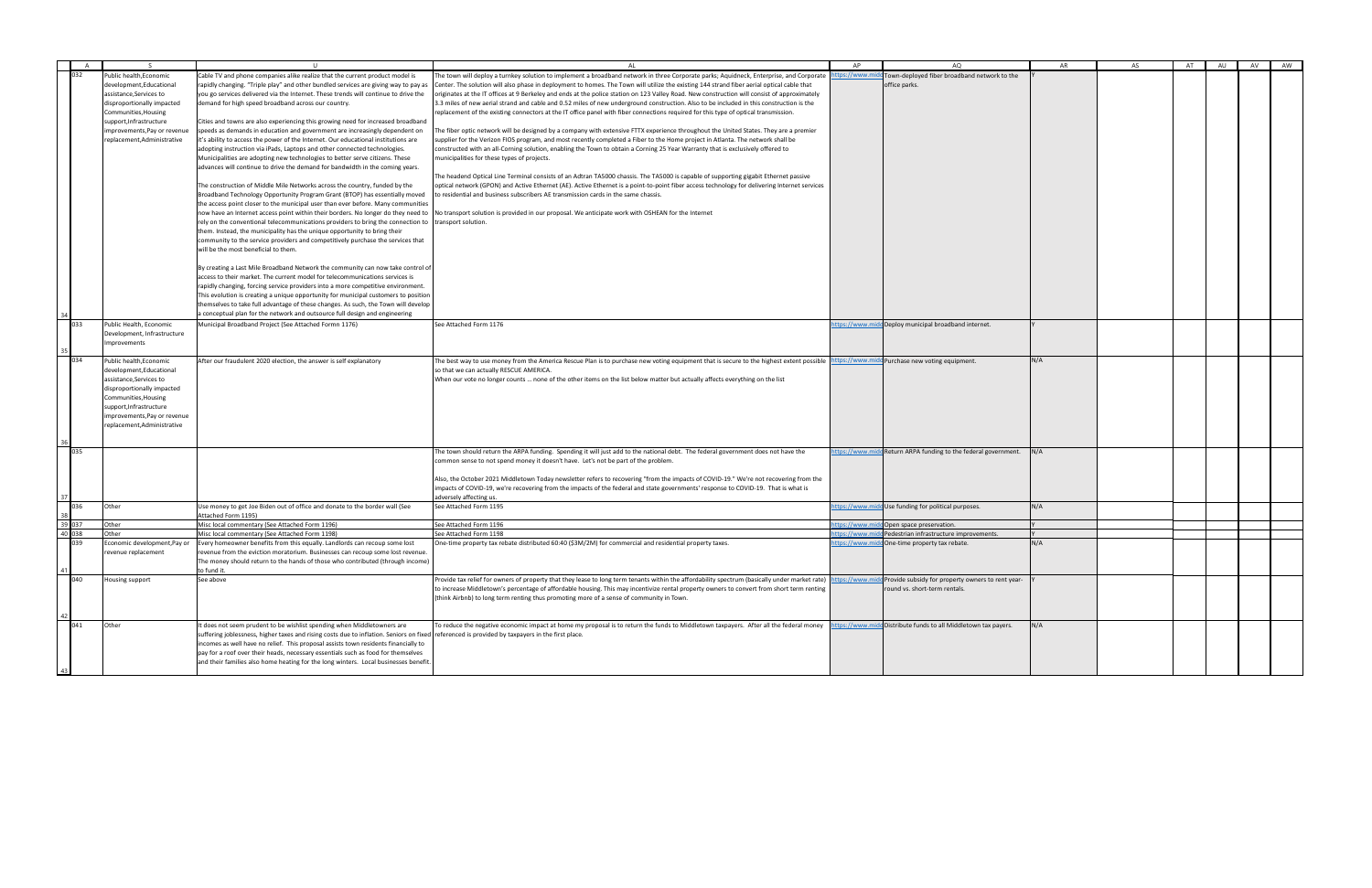|        | $\overline{A}$ |                                                             | $\mathbf{U}$                                                                                                                                    | AL                                                                                                                                             | AP             | AO                                                  | AR  | AS | AT | AU | AV | AW |
|--------|----------------|-------------------------------------------------------------|-------------------------------------------------------------------------------------------------------------------------------------------------|------------------------------------------------------------------------------------------------------------------------------------------------|----------------|-----------------------------------------------------|-----|----|----|----|----|----|
|        |                | Public health, Economic                                     | Cable TV and phone companies alike realize that the current product model is                                                                    | The town will deploy a turnkey solution to implement a broadband network in three Corporate parks; Aquidneck, Enterprise, and Corporate        | tps://www.m    | Town-deployed fiber broadband network to the        |     |    |    |    |    |    |
|        |                | development, Educational                                    | rapidly changing. "Triple play" and other bundled services are giving way to pay as                                                             | Center. The solution will also phase in deployment to homes. The Town will utilize the existing 144 strand fiber aerial optical cable that     |                | office parks.                                       |     |    |    |    |    |    |
|        |                | assistance, Services to                                     | you go services delivered via the Internet. These trends will continue to drive the                                                             | priginates at the IT offices at 9 Berkeley and ends at the police station on 123 Valley Road. New construction will consist of approximately   |                |                                                     |     |    |    |    |    |    |
|        |                | disproportionally impacted                                  | demand for high speed broadband across our country.                                                                                             | 3.3 miles of new aerial strand and cable and 0.52 miles of new underground construction. Also to be included in this construction is the       |                |                                                     |     |    |    |    |    |    |
|        |                | Communities, Housing                                        |                                                                                                                                                 | eplacement of the existing connectors at the IT office panel with fiber connections required for this type of optical transmission.            |                |                                                     |     |    |    |    |    |    |
|        |                | support, Infrastructure                                     | Cities and towns are also experiencing this growing need for increased broadband                                                                |                                                                                                                                                |                |                                                     |     |    |    |    |    |    |
|        |                | improvements, Pay or revenue                                | speeds as demands in education and government are increasingly dependent on                                                                     | The fiber optic network will be designed by a company with extensive FTTX experience throughout the United States. They are a premier          |                |                                                     |     |    |    |    |    |    |
|        |                | replacement, Administrative                                 | t's ability to access the power of the Internet. Our educational institutions are                                                               | supplier for the Verizon FIOS program, and most recently completed a Fiber to the Home project in Atlanta. The network shall be                |                |                                                     |     |    |    |    |    |    |
|        |                |                                                             |                                                                                                                                                 | constructed with an all-Corning solution, enabling the Town to obtain a Corning 25 Year Warranty that is exclusively offered to                |                |                                                     |     |    |    |    |    |    |
|        |                |                                                             | adopting instruction via iPads, Laptops and other connected technologies.                                                                       |                                                                                                                                                |                |                                                     |     |    |    |    |    |    |
|        |                |                                                             | Municipalities are adopting new technologies to better serve citizens. These                                                                    | municipalities for these types of projects.                                                                                                    |                |                                                     |     |    |    |    |    |    |
|        |                |                                                             | advances will continue to drive the demand for bandwidth in the coming years.                                                                   |                                                                                                                                                |                |                                                     |     |    |    |    |    |    |
|        |                |                                                             |                                                                                                                                                 | The headend Optical Line Terminal consists of an Adtran TA5000 chassis. The TA5000 is capable of supporting gigabit Ethernet passive           |                |                                                     |     |    |    |    |    |    |
|        |                |                                                             | The construction of Middle Mile Networks across the country, funded by the                                                                      | optical network (GPON) and Active Ethernet (AE). Active Ethernet is a point-to-point fiber access technology for delivering Internet services  |                |                                                     |     |    |    |    |    |    |
|        |                |                                                             | Broadband Technology Opportunity Program Grant (BTOP) has essentially moved                                                                     | to residential and business subscribers AE transmission cards in the same chassis.                                                             |                |                                                     |     |    |    |    |    |    |
|        |                |                                                             | the access point closer to the municipal user than ever before. Many communities:                                                               |                                                                                                                                                |                |                                                     |     |    |    |    |    |    |
|        |                |                                                             | now have an Internet access point within their borders. No longer do they need to                                                               | No transport solution is provided in our proposal. We anticipate work with OSHEAN for the Internet                                             |                |                                                     |     |    |    |    |    |    |
|        |                |                                                             | rely on the conventional telecommunications providers to bring the connection to ltransport solution.                                           |                                                                                                                                                |                |                                                     |     |    |    |    |    |    |
|        |                |                                                             | hem. Instead, the municipality has the unique opportunity to bring their.                                                                       |                                                                                                                                                |                |                                                     |     |    |    |    |    |    |
|        |                |                                                             | ommunity to the service providers and competitively purchase the services that                                                                  |                                                                                                                                                |                |                                                     |     |    |    |    |    |    |
|        |                |                                                             | will be the most beneficial to them.                                                                                                            |                                                                                                                                                |                |                                                     |     |    |    |    |    |    |
|        |                |                                                             |                                                                                                                                                 |                                                                                                                                                |                |                                                     |     |    |    |    |    |    |
|        |                |                                                             | 3y creating a Last Mile Broadband Network the community can now take control of                                                                 |                                                                                                                                                |                |                                                     |     |    |    |    |    |    |
|        |                |                                                             | access to their market. The current model for telecommunications services is                                                                    |                                                                                                                                                |                |                                                     |     |    |    |    |    |    |
|        |                |                                                             | rapidly changing, forcing service providers into a more competitive environment.                                                                |                                                                                                                                                |                |                                                     |     |    |    |    |    |    |
|        |                |                                                             | This evolution is creating a unique opportunity for municipal customers to position                                                             |                                                                                                                                                |                |                                                     |     |    |    |    |    |    |
|        |                |                                                             | hemselves to take full advantage of these changes. As such, the Town will develop                                                               |                                                                                                                                                |                |                                                     |     |    |    |    |    |    |
|        |                |                                                             | a conceptual plan for the network and outsource full design and engineering                                                                     |                                                                                                                                                |                |                                                     |     |    |    |    |    |    |
|        | 033            | Public Health, Economic                                     | Municipal Broadband Project (See Attached Formn 1176)                                                                                           | See Attached Form 1176                                                                                                                         |                | ttps://www.middDeploy municipal broadband internet. |     |    |    |    |    |    |
|        |                | Development, Infrastructure                                 |                                                                                                                                                 |                                                                                                                                                |                |                                                     |     |    |    |    |    |    |
|        |                | Improvements                                                |                                                                                                                                                 |                                                                                                                                                |                |                                                     |     |    |    |    |    |    |
|        | 034            |                                                             |                                                                                                                                                 |                                                                                                                                                |                |                                                     | N/A |    |    |    |    |    |
|        |                | Public health, Economic                                     | After our fraudulent 2020 election, the answer is self explanatory                                                                              | The best way to use money from the America Rescue Plan is to purchase new voting equipment that is secure to the highest extent possible       | nttps://www.mi | Purchase new voting equipment.                      |     |    |    |    |    |    |
|        |                | development, Educational                                    |                                                                                                                                                 | so that we can actually RESCUE AMERICA.                                                                                                        |                |                                                     |     |    |    |    |    |    |
|        |                | assistance, Services to                                     |                                                                                                                                                 | When our vote no longer counts  none of the other items on the list below matter but actually affects everything on the list                   |                |                                                     |     |    |    |    |    |    |
|        |                | disproportionally impacted                                  |                                                                                                                                                 |                                                                                                                                                |                |                                                     |     |    |    |    |    |    |
|        |                | Communities, Housing                                        |                                                                                                                                                 |                                                                                                                                                |                |                                                     |     |    |    |    |    |    |
|        |                | support, Infrastructure                                     |                                                                                                                                                 |                                                                                                                                                |                |                                                     |     |    |    |    |    |    |
|        |                | improvements, Pay or revenue<br>replacement, Administrative |                                                                                                                                                 |                                                                                                                                                |                |                                                     |     |    |    |    |    |    |
|        |                |                                                             |                                                                                                                                                 |                                                                                                                                                |                |                                                     |     |    |    |    |    |    |
|        |                |                                                             |                                                                                                                                                 |                                                                                                                                                |                |                                                     |     |    |    |    |    |    |
|        | 035            |                                                             |                                                                                                                                                 | The town should return the ARPA funding. Spending it will just add to the national debt. The federal government does not have the              | tps://www.m    | Return ARPA funding to the federal government.      |     |    |    |    |    |    |
|        |                |                                                             |                                                                                                                                                 | common sense to not spend money it doesn't have. Let's not be part of the problem.                                                             |                |                                                     |     |    |    |    |    |    |
|        |                |                                                             |                                                                                                                                                 |                                                                                                                                                |                |                                                     |     |    |    |    |    |    |
|        |                |                                                             |                                                                                                                                                 | Also, the October 2021 Middletown Today newsletter refers to recovering "from the impacts of COVID-19." We're not recovering from the          |                |                                                     |     |    |    |    |    |    |
|        |                |                                                             |                                                                                                                                                 | mpacts of COVID-19, we're recovering from the impacts of the federal and state governments' response to COVID-19. That is what is              |                |                                                     |     |    |    |    |    |    |
|        |                |                                                             |                                                                                                                                                 | adversely affecting us.                                                                                                                        |                |                                                     |     |    |    |    |    |    |
|        | 036            | Other                                                       | Use money to get Joe Biden out of office and donate to the border wall (See                                                                     | See Attached Form 1195                                                                                                                         | tps://www.mic  | dUse funding for political purposes.                | N/A |    |    |    |    |    |
|        |                |                                                             | Attached Form 1195)                                                                                                                             |                                                                                                                                                |                |                                                     |     |    |    |    |    |    |
| 39 037 |                | Other                                                       | Misc local commentary (See Attached Form 1196)                                                                                                  | See Attached Form 1196                                                                                                                         | ttps://www.m   | Open space preservation.                            |     |    |    |    |    |    |
| 40 038 |                | Other                                                       | Misc local commentary (See Attached Form 1198)                                                                                                  | See Attached Form 1198                                                                                                                         | ttps://www.mi  | Pedestrian infrastructure improvements.             |     |    |    |    |    |    |
| 039    |                | Economic development, Pay or                                | very homeowner benefits from this equally. Landlords can recoup some lost                                                                       | One-time property tax rebate distributed 60:40 (\$3M/2M) for commercial and residential property taxes.                                        |                | tps://www.middOne-time property tax rebate.         | N/A |    |    |    |    |    |
|        |                | revenue replacement                                         | revenue from the eviction moratorium. Businesses can recoup some lost revenue.                                                                  |                                                                                                                                                |                |                                                     |     |    |    |    |    |    |
|        |                |                                                             | The money should return to the hands of those who contributed (through income)                                                                  |                                                                                                                                                |                |                                                     |     |    |    |    |    |    |
|        |                |                                                             | o fund it.                                                                                                                                      |                                                                                                                                                |                |                                                     |     |    |    |    |    |    |
|        | 040            | Housing support                                             | See above                                                                                                                                       | Provide tax relief for owners of property that they lease to long term tenants within the affordability spectrum (basically under market rate) | ttps://www.mi  | Provide subsidy for property owners to rent year-   |     |    |    |    |    |    |
|        |                |                                                             |                                                                                                                                                 | to increase Middletown's percentage of affordable housing. This may incentivize rental property owners to convert from short term renting      |                | round vs. short-term rentals.                       |     |    |    |    |    |    |
|        |                |                                                             |                                                                                                                                                 | (think Airbnb) to long term renting thus promoting more of a sense of community in Town.                                                       |                |                                                     |     |    |    |    |    |    |
|        |                |                                                             |                                                                                                                                                 |                                                                                                                                                |                |                                                     |     |    |    |    |    |    |
|        |                |                                                             |                                                                                                                                                 |                                                                                                                                                |                |                                                     |     |    |    |    |    |    |
|        | 041            | Other                                                       | t does not seem prudent to be wishlist spending when Middletowners are                                                                          | To reduce the negative economic impact at home my proposal is to return the funds to Middletown taxpayers. After all the federal money         | nttps://www.mi | Distribute funds to all Middletown tax payers.      | N/A |    |    |    |    |    |
|        |                |                                                             | suffering joblessness, higher taxes and rising costs due to inflation. Seniors on fixed referenced is provided by taxpayers in the first place. |                                                                                                                                                |                |                                                     |     |    |    |    |    |    |
|        |                |                                                             | ncomes as well have no relief. This proposal assists town residents financially to                                                              |                                                                                                                                                |                |                                                     |     |    |    |    |    |    |
|        |                |                                                             | pay for a roof over their heads, necessary essentials such as food for themselves                                                               |                                                                                                                                                |                |                                                     |     |    |    |    |    |    |
|        |                |                                                             | and their families also home heating for the long winters. Local businesses benefit.                                                            |                                                                                                                                                |                |                                                     |     |    |    |    |    |    |
|        |                |                                                             |                                                                                                                                                 |                                                                                                                                                |                |                                                     |     |    |    |    |    |    |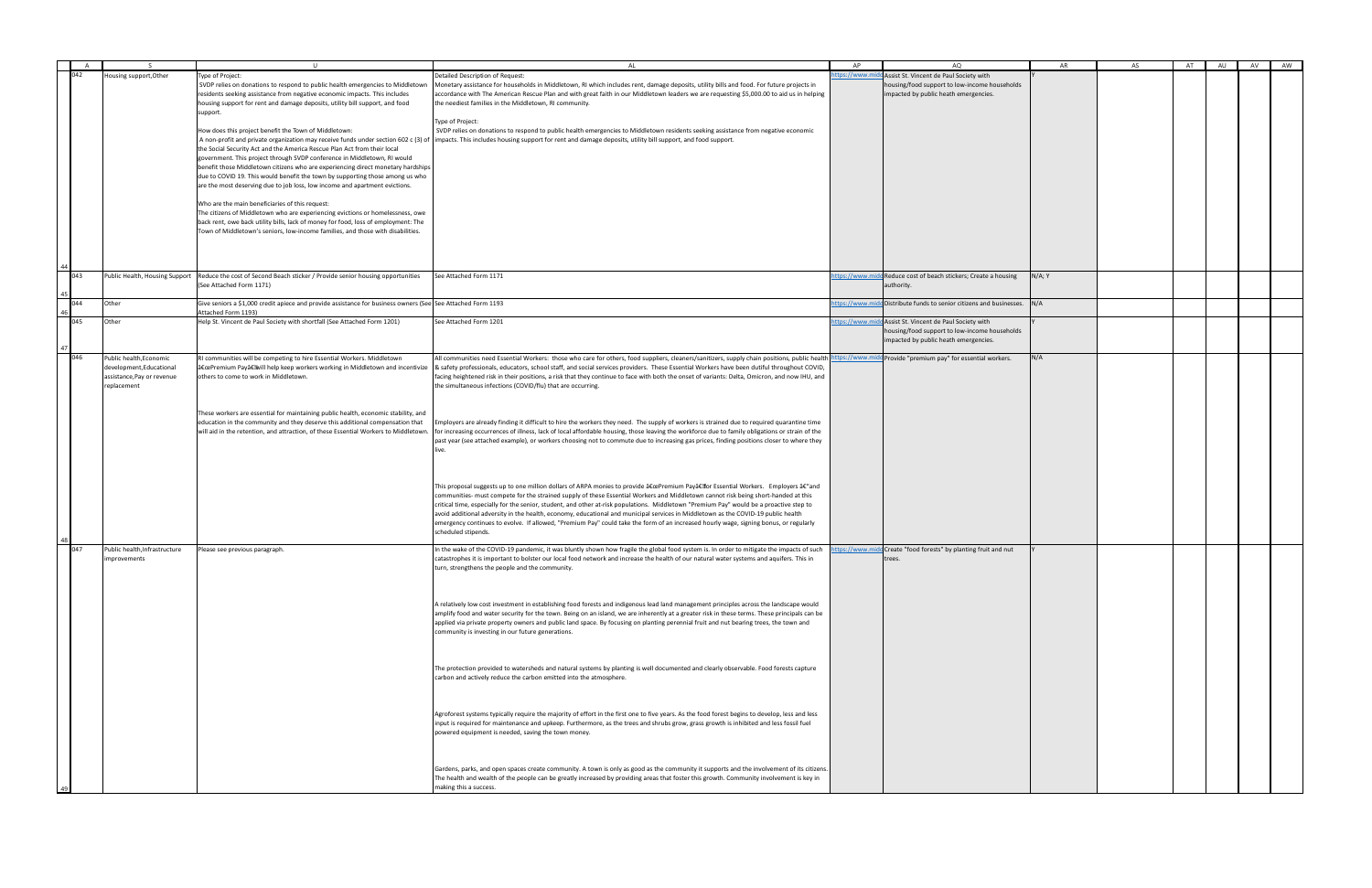|     |                                                                                                  | $\mathbf{U}$                                                                                                                                                                                                                                                                                                                                                                                                                                                                                                                                                                                                                                                                                                                                                                                                                                                                                                                                                                                                                                                                                                                                     | AL                                                                                                                                                                                                                                                                                                                                                                                                                                                                                                                                                                                                                                                                                                                                                                                                                                                                                                                                                                                                                                                                                                                                                                                                                                                                                                                                                                                                        | AP                                  | AO.                                                                                                                                                                                     | AR     | AS | AT | AU | AV | AW |
|-----|--------------------------------------------------------------------------------------------------|--------------------------------------------------------------------------------------------------------------------------------------------------------------------------------------------------------------------------------------------------------------------------------------------------------------------------------------------------------------------------------------------------------------------------------------------------------------------------------------------------------------------------------------------------------------------------------------------------------------------------------------------------------------------------------------------------------------------------------------------------------------------------------------------------------------------------------------------------------------------------------------------------------------------------------------------------------------------------------------------------------------------------------------------------------------------------------------------------------------------------------------------------|-----------------------------------------------------------------------------------------------------------------------------------------------------------------------------------------------------------------------------------------------------------------------------------------------------------------------------------------------------------------------------------------------------------------------------------------------------------------------------------------------------------------------------------------------------------------------------------------------------------------------------------------------------------------------------------------------------------------------------------------------------------------------------------------------------------------------------------------------------------------------------------------------------------------------------------------------------------------------------------------------------------------------------------------------------------------------------------------------------------------------------------------------------------------------------------------------------------------------------------------------------------------------------------------------------------------------------------------------------------------------------------------------------------|-------------------------------------|-----------------------------------------------------------------------------------------------------------------------------------------------------------------------------------------|--------|----|----|----|----|----|
| 042 | Housing support, Other<br>Public Health, Housing Support                                         | Type of Project:<br>SVDP relies on donations to respond to public health emergencies to Middletown<br>residents seeking assistance from negative economic impacts. This includes<br>nousing support for rent and damage deposits, utility bill support, and food<br>upport.<br>How does this project benefit the Town of Middletown:<br>the Social Security Act and the America Rescue Plan Act from their local<br>government. This project through SVDP conference in Middletown, RI would<br>benefit those Middletown citizens who are experiencing direct monetary hardships<br>due to COVID 19. This would benefit the town by supporting those among us who<br>are the most deserving due to job loss, low income and apartment evictions.<br>Who are the main beneficiaries of this request:<br>The citizens of Middletown who are experiencing evictions or homelessness, owe<br>back rent, owe back utility bills, lack of money for food, loss of employment: The<br>Town of Middletown's seniors, low-income families, and those with disabilities.<br>Reduce the cost of Second Beach sticker / Provide senior housing opportunities | Detailed Description of Request:<br>Monetary assistance for households in Middletown, RI which includes rent, damage deposits, utility bills and food. For future projects in<br>accordance with The American Rescue Plan and with great faith in our Middletown leaders we are requesting \$5,000.00 to aid us in helping<br>the neediest families in the Middletown, RI community.<br>Type of Project:<br>SVDP relies on donations to respond to public health emergencies to Middletown residents seeking assistance from negative economic<br>A non-profit and private organization may receive funds under section 602 c (3) of  impacts. This includes housing support for rent and damage deposits, utility bill support, and food support.<br>See Attached Form 1171                                                                                                                                                                                                                                                                                                                                                                                                                                                                                                                                                                                                                              | tps://www.mi<br><u>tps://www.mi</u> | do Assist St. Vincent de Paul Society with<br>housing/food support to low-income households<br>impacted by public heath emergencies.<br>Reduce cost of beach stickers; Create a housing | N/A; Y |    |    |    |    |    |
| 044 | Other                                                                                            | (See Attached Form 1171)<br>Give seniors a \$1,000 credit apiece and provide assistance for business owners (See See Attached Form 1193                                                                                                                                                                                                                                                                                                                                                                                                                                                                                                                                                                                                                                                                                                                                                                                                                                                                                                                                                                                                          |                                                                                                                                                                                                                                                                                                                                                                                                                                                                                                                                                                                                                                                                                                                                                                                                                                                                                                                                                                                                                                                                                                                                                                                                                                                                                                                                                                                                           | ttps://www.m                        | authority.<br>Distribute funds to senior citizens and businesses.                                                                                                                       | N/A    |    |    |    |    |    |
|     |                                                                                                  | Attached Form 1193)                                                                                                                                                                                                                                                                                                                                                                                                                                                                                                                                                                                                                                                                                                                                                                                                                                                                                                                                                                                                                                                                                                                              |                                                                                                                                                                                                                                                                                                                                                                                                                                                                                                                                                                                                                                                                                                                                                                                                                                                                                                                                                                                                                                                                                                                                                                                                                                                                                                                                                                                                           |                                     |                                                                                                                                                                                         |        |    |    |    |    |    |
| 045 | Other                                                                                            | Help St. Vincent de Paul Society with shortfall (See Attached Form 1201)                                                                                                                                                                                                                                                                                                                                                                                                                                                                                                                                                                                                                                                                                                                                                                                                                                                                                                                                                                                                                                                                         | See Attached Form 1201                                                                                                                                                                                                                                                                                                                                                                                                                                                                                                                                                                                                                                                                                                                                                                                                                                                                                                                                                                                                                                                                                                                                                                                                                                                                                                                                                                                    |                                     | ttps://www.midc Assist St. Vincent de Paul Society with<br>housing/food support to low-income households<br>impacted by public heath emergencies.                                       |        |    |    |    |    |    |
| 046 | Public health, Economic<br>development, Educational<br>assistance, Pay or revenue<br>replacement | RI communities will be competing to hire Essential Workers. Middletown<br>"Premium Pay†Mill help keep workers working in Middletown and incentivize<br>others to come to work in Middletown.<br>These workers are essential for maintaining public health, economic stability, and<br>education in the community and they deserve this additional compensation that<br>will aid in the retention, and attraction, of these Essential Workers to Middletown.                                                                                                                                                                                                                                                                                                                                                                                                                                                                                                                                                                                                                                                                                      | All communities need Essential Workers: those who care for others, food suppliers, cleaners/sanitizers, supply chain positions, public health<br>& safety professionals, educators, school staff, and social services providers. These Essential Workers have been dutiful throughout COVID,<br>facing heightened risk in their positions, a risk that they continue to face with both the onset of variants: Delta, Omicron, and now IHU, and<br>the simultaneous infections (COVID/flu) that are occurring.<br>Employers are already finding it difficult to hire the workers they need. The supply of workers is strained due to required quarantine time<br>for increasing occurrences of illness, lack of local affordable housing, those leaving the workforce due to family obligations or strain of the<br>past year (see attached example), or workers choosing not to commute due to increasing gas prices, finding positions closer to where they<br>This proposal suggests up to one million dollars of ARPA monies to provide "Premium Payâ€l∄or Essential Workers. Employers –and                                                                                                                                                                                                                                                                                                           | ttps://www.mi                       | Provide "premium pay" for essential workers.                                                                                                                                            | N/A    |    |    |    |    |    |
|     |                                                                                                  |                                                                                                                                                                                                                                                                                                                                                                                                                                                                                                                                                                                                                                                                                                                                                                                                                                                                                                                                                                                                                                                                                                                                                  | communities- must compete for the strained supply of these Essential Workers and Middletown cannot risk being short-handed at this<br>critical time, especially for the senior, student, and other at-risk populations. Middletown "Premium Pay" would be a proactive step to<br>avoid additional adversity in the health, economy, educational and municipal services in Middletown as the COVID-19 public health<br>emergency continues to evolve. If allowed, "Premium Pay" could take the form of an increased hourly wage, signing bonus, or regularly<br>scheduled stipends.                                                                                                                                                                                                                                                                                                                                                                                                                                                                                                                                                                                                                                                                                                                                                                                                                        |                                     |                                                                                                                                                                                         |        |    |    |    |    |    |
| 047 | Public health, Infrastructure<br>improvements                                                    | Please see previous paragraph.                                                                                                                                                                                                                                                                                                                                                                                                                                                                                                                                                                                                                                                                                                                                                                                                                                                                                                                                                                                                                                                                                                                   | In the wake of the COVID-19 pandemic, it was bluntly shown how fragile the global food system is. In order to mitigate the impacts of such<br>catastrophes it is important to bolster our local food network and increase the health of our natural water systems and aquifers. This in<br>turn, strengthens the people and the community.<br>A relatively low cost investment in establishing food forests and indigenous lead land management principles across the landscape would<br>amplify food and water security for the town. Being on an island, we are inherently at a greater risk in these terms. These principals can be<br>applied via private property owners and public land space. By focusing on planting perennial fruit and nut bearing trees, the town and<br>community is investing in our future generations.<br>The protection provided to watersheds and natural systems by planting is well documented and clearly observable. Food forests capture<br>carbon and actively reduce the carbon emitted into the atmosphere.<br>Agroforest systems typically require the majority of effort in the first one to five years. As the food forest begins to develop, less and less<br>input is required for maintenance and upkeep. Furthermore, as the trees and shrubs grow, grass growth is inhibited and less fossil fuel<br>powered equipment is needed, saving the town money. |                                     | ttps://www.middCreate "food forests" by planting fruit and nut                                                                                                                          |        |    |    |    |    |    |
|     |                                                                                                  |                                                                                                                                                                                                                                                                                                                                                                                                                                                                                                                                                                                                                                                                                                                                                                                                                                                                                                                                                                                                                                                                                                                                                  | Gardens, parks, and open spaces create community. A town is only as good as the community it supports and the involvement of its citizens.<br>The health and wealth of the people can be greatly increased by providing areas that foster this growth. Community involvement is key in<br>making this a success.                                                                                                                                                                                                                                                                                                                                                                                                                                                                                                                                                                                                                                                                                                                                                                                                                                                                                                                                                                                                                                                                                          |                                     |                                                                                                                                                                                         |        |    |    |    |    |    |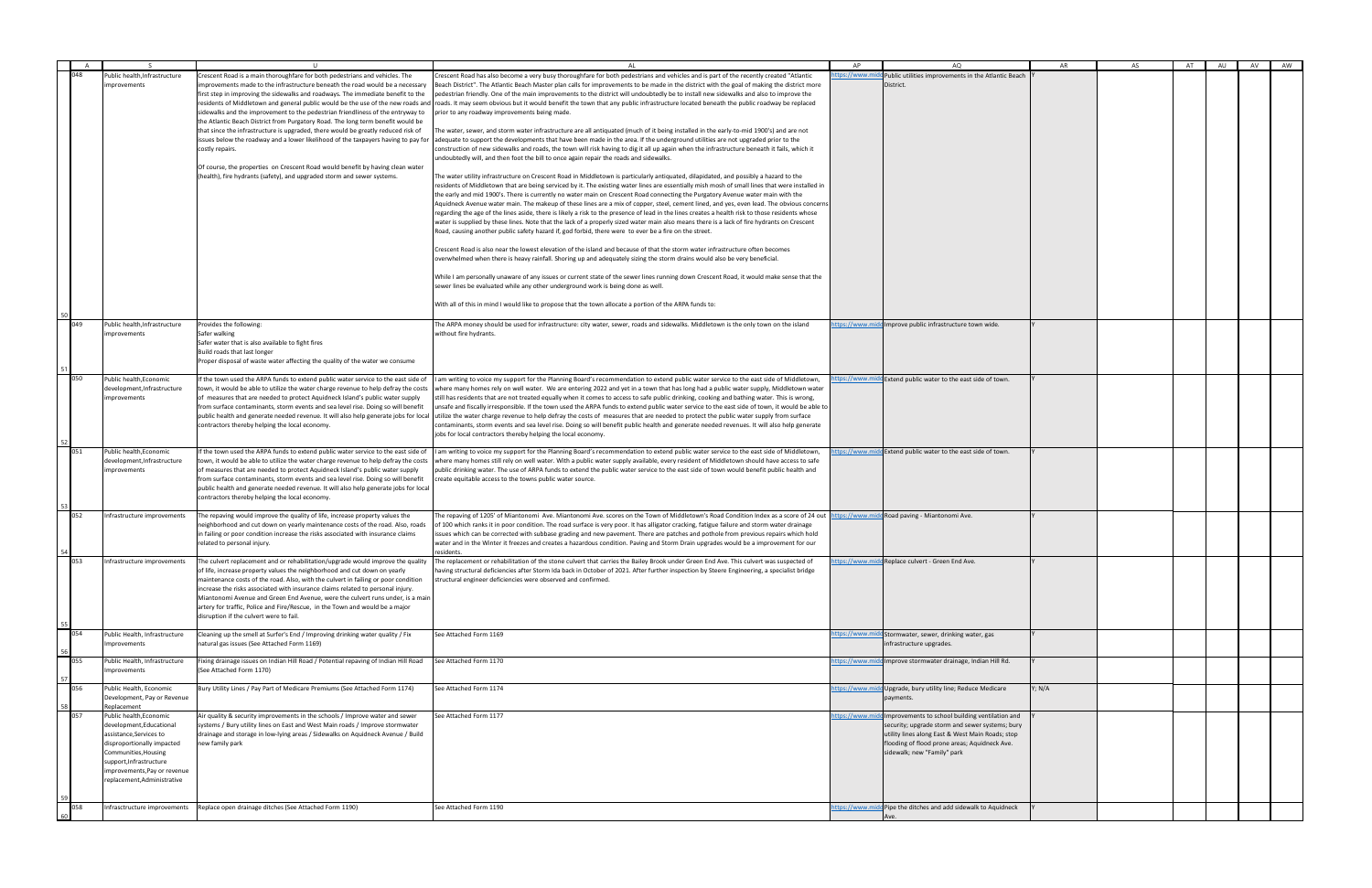| $\overline{A}$       |                                                                                                                                                                                                                                |                                                                                                                                                                                                                                                                                                                                                                                                                                                                                                                                                                                                                                                                                                                                                                                 | AI                                                                                                                                                                                                                                                                                                                                                                                                                                                                                                                                                                                                                                                                                                                                                                                                                                                                                                                                                                                                                                                                                                                                                                                                                                                                                                                                                                                                                                                                                                                                                                                                                                                                                                                                                                                                                                                                                                                                                                                                                                                                                                                                                                                                                                                                                                                                                                                                                                                                                                                                                                                                                                                                                                                                                                                                                                       | AP                  | AO                                                                                                                                                                                                                                                                                          | AR     | AS | AT | AU | AV | AW |
|----------------------|--------------------------------------------------------------------------------------------------------------------------------------------------------------------------------------------------------------------------------|---------------------------------------------------------------------------------------------------------------------------------------------------------------------------------------------------------------------------------------------------------------------------------------------------------------------------------------------------------------------------------------------------------------------------------------------------------------------------------------------------------------------------------------------------------------------------------------------------------------------------------------------------------------------------------------------------------------------------------------------------------------------------------|------------------------------------------------------------------------------------------------------------------------------------------------------------------------------------------------------------------------------------------------------------------------------------------------------------------------------------------------------------------------------------------------------------------------------------------------------------------------------------------------------------------------------------------------------------------------------------------------------------------------------------------------------------------------------------------------------------------------------------------------------------------------------------------------------------------------------------------------------------------------------------------------------------------------------------------------------------------------------------------------------------------------------------------------------------------------------------------------------------------------------------------------------------------------------------------------------------------------------------------------------------------------------------------------------------------------------------------------------------------------------------------------------------------------------------------------------------------------------------------------------------------------------------------------------------------------------------------------------------------------------------------------------------------------------------------------------------------------------------------------------------------------------------------------------------------------------------------------------------------------------------------------------------------------------------------------------------------------------------------------------------------------------------------------------------------------------------------------------------------------------------------------------------------------------------------------------------------------------------------------------------------------------------------------------------------------------------------------------------------------------------------------------------------------------------------------------------------------------------------------------------------------------------------------------------------------------------------------------------------------------------------------------------------------------------------------------------------------------------------------------------------------------------------------------------------------------------------|---------------------|---------------------------------------------------------------------------------------------------------------------------------------------------------------------------------------------------------------------------------------------------------------------------------------------|--------|----|----|----|----|----|
| 048                  | Public health, Infrastructure<br>mprovements                                                                                                                                                                                   | Crescent Road is a main thoroughfare for both pedestrians and vehicles. The<br>mprovements made to the infrastructure beneath the road would be a necessary<br>first step in improving the sidewalks and roadways. The immediate benefit to the<br>idewalks and the improvement to the pedestrian friendliness of the entryway to<br>the Atlantic Beach District from Purgatory Road. The long term benefit would be<br>that since the infrastructure is upgraded, there would be greatly reduced risk of<br>issues below the roadway and a lower likelihood of the taxpayers having to pay for<br>costly repairs.<br>Of course, the properties on Crescent Road would benefit by having clean water<br>(health), fire hydrants (safety), and upgraded storm and sewer systems. | Crescent Road has also become a very busy thoroughfare for both pedestrians and vehicles and is part of the recently created "Atlantic<br>Beach District". The Atlantic Beach Master plan calls for improvements to be made in the district with the goal of making the district more<br>pedestrian friendly. One of the main improvements to the district will undoubtedly be to install new sidewalks and also to improve the<br>residents of Middletown and general public would be the use of the new roads and roads. It may seem obvious but it would benefit the town that any public infrastructure located beneath the public roadway be replaced<br>prior to any roadway improvements being made.<br>The water, sewer, and storm water infrastructure are all antiquated (much of it being installed in the early-to-mid 1900's) and are not<br>adequate to support the developments that have been made in the area. If the underground utilities are not upgraded prior to the<br>construction of new sidewalks and roads, the town will risk having to dig it all up again when the infrastructure beneath it fails, which it<br>undoubtedly will, and then foot the bill to once again repair the roads and sidewalks.<br>The water utility infrastructure on Crescent Road in Middletown is particularly antiquated, dilapidated, and possibly a hazard to the<br>residents of Middletown that are being serviced by it. The existing water lines are essentially mish mosh of small lines that were installed in<br>the early and mid 1900's. There is currently no water main on Crescent Road connecting the Purgatory Avenue water main with the<br>Aquidneck Avenue water main. The makeup of these lines are a mix of copper, steel, cement lined, and yes, even lead. The obvious concerns<br>regarding the age of the lines aside, there is likely a risk to the presence of lead in the lines creates a health risk to those residents whose<br>water is supplied by these lines. Note that the lack of a properly sized water main also means there is a lack of fire hydrants on Crescent<br>Road, causing another public safety hazard if, god forbid, there were to ever be a fire on the street.<br>Crescent Road is also near the lowest elevation of the island and because of that the storm water infrastructure often becomes<br>overwhelmed when there is heavy rainfall. Shoring up and adequately sizing the storm drains would also be very beneficial.<br>While I am personally unaware of any issues or current state of the sewer lines running down Crescent Road, it would make sense that the<br>sewer lines be evaluated while any other underground work is being done as well.<br>With all of this in mind I would like to propose that the town allocate a portion of the ARPA funds to: | tps://www.mi        | c Public utilities improvements in the Atlantic Beach<br>District.                                                                                                                                                                                                                          |        |    |    |    |    |    |
| 049                  | Public health, Infrastructure<br>mprovements                                                                                                                                                                                   | Provides the following:<br>Safer walking<br>Safer water that is also available to fight fires<br>Build roads that last longer<br>Proper disposal of waste water affecting the quality of the water we consume                                                                                                                                                                                                                                                                                                                                                                                                                                                                                                                                                                   | The ARPA money should be used for infrastructure: city water, sewer, roads and sidewalks. Middletown is the only town on the island<br>without fire hydrants.                                                                                                                                                                                                                                                                                                                                                                                                                                                                                                                                                                                                                                                                                                                                                                                                                                                                                                                                                                                                                                                                                                                                                                                                                                                                                                                                                                                                                                                                                                                                                                                                                                                                                                                                                                                                                                                                                                                                                                                                                                                                                                                                                                                                                                                                                                                                                                                                                                                                                                                                                                                                                                                                            |                     | ttps://www.midd Improve public infrastructure town wide.                                                                                                                                                                                                                                    |        |    |    |    |    |    |
|                      | Public health, Economic<br>development, Infrastructure<br>mprovements                                                                                                                                                          | If the town used the ARPA funds to extend public water service to the east side of<br>town, it would be able to utilize the water charge revenue to help defray the costs<br>of measures that are needed to protect Aquidneck Island's public water supply<br>rom surface contaminants, storm events and sea level rise. Doing so will benefit<br>public health and generate needed revenue. It will also help generate jobs for local<br>contractors thereby helping the local economy.                                                                                                                                                                                                                                                                                        | I am writing to voice my support for the Planning Board's recommendation to extend public water service to the east side of Middletown,<br>where many homes rely on well water. We are entering 2022 and yet in a town that has long had a public water supply, Middletown water<br>still has residents that are not treated equally when it comes to access to safe public drinking, cooking and bathing water. This is wrong,<br>unsafe and fiscally irresponsible. If the town used the ARPA funds to extend public water service to the east side of town, it would be able to<br>utilize the water charge revenue to help defray the costs of measures that are needed to protect the public water supply from surface<br>contaminants, storm events and sea level rise. Doing so will benefit public health and generate needed revenues. It will also help generate<br>jobs for local contractors thereby helping the local economy.                                                                                                                                                                                                                                                                                                                                                                                                                                                                                                                                                                                                                                                                                                                                                                                                                                                                                                                                                                                                                                                                                                                                                                                                                                                                                                                                                                                                                                                                                                                                                                                                                                                                                                                                                                                                                                                                                              | ttps://www.mi       | c Extend public water to the east side of town.                                                                                                                                                                                                                                             |        |    |    |    |    |    |
| 051                  | Public health, Economic<br>development, Infrastructure<br>mprovements                                                                                                                                                          | If the town used the ARPA funds to extend public water service to the east side of<br>own, it would be able to utilize the water charge revenue to help defray the costs:<br>of measures that are needed to protect Aquidneck Island's public water supply<br>from surface contaminants, storm events and sea level rise. Doing so will benefit<br>public health and generate needed revenue. It will also help generate jobs for local<br>contractors thereby helping the local economy.                                                                                                                                                                                                                                                                                       | I am writing to voice my support for the Planning Board's recommendation to extend public water service to the east side of Middletown,<br>where many homes still rely on well water. With a public water supply available, every resident of Middletown should have access to safe<br>public drinking water. The use of ARPA funds to extend the public water service to the east side of town would benefit public health and<br>create equitable access to the towns public water source.                                                                                                                                                                                                                                                                                                                                                                                                                                                                                                                                                                                                                                                                                                                                                                                                                                                                                                                                                                                                                                                                                                                                                                                                                                                                                                                                                                                                                                                                                                                                                                                                                                                                                                                                                                                                                                                                                                                                                                                                                                                                                                                                                                                                                                                                                                                                             | ttps://www.mi       | c Extend public water to the east side of town.                                                                                                                                                                                                                                             |        |    |    |    |    |    |
|                      | Infrastructure improvements                                                                                                                                                                                                    | The repaving would improve the quality of life, increase property values the<br>ieighborhood and cut down on yearly maintenance costs of the road. Also, roads<br>n failing or poor condition increase the risks associated with insurance claims<br>related to personal injury.                                                                                                                                                                                                                                                                                                                                                                                                                                                                                                | The repaving of 1205' of Miantonomi Ave. Miantonomi Ave. scores on the Town of Middletown's Road Condition Index as a score of 24 out<br>of 100 which ranks it in poor condition. The road surface is very poor. It has alligator cracking, fatigue failure and storm water drainage<br>issues which can be corrected with subbase grading and new pavement. There are patches and pothole from previous repairs which hold<br>water and in the Winter it freezes and creates a hazardous condition. Paving and Storm Drain upgrades would be a improvement for our<br>residents.                                                                                                                                                                                                                                                                                                                                                                                                                                                                                                                                                                                                                                                                                                                                                                                                                                                                                                                                                                                                                                                                                                                                                                                                                                                                                                                                                                                                                                                                                                                                                                                                                                                                                                                                                                                                                                                                                                                                                                                                                                                                                                                                                                                                                                                        |                     | ttps://www.middRoad paving - Miantonomi Ave.                                                                                                                                                                                                                                                |        |    |    |    |    |    |
| $\overline{1}_{053}$ | Infrastructure improvements                                                                                                                                                                                                    | The culvert replacement and or rehabilitation/upgrade would improve the quality<br>of life, increase property values the neighborhood and cut down on yearly<br>maintenance costs of the road. Also, with the culvert in failing or poor condition<br>ncrease the risks associated with insurance claims related to personal injury.<br>Miantonomi Avenue and Green End Avenue, were the culvert runs under, is a main<br>artery for traffic, Police and Fire/Rescue, in the Town and would be a major<br>disruption if the culvert were to fail.                                                                                                                                                                                                                               | The replacement or rehabilitation of the stone culvert that carries the Bailey Brook under Green End Ave. This culvert was suspected of<br>having structural deficiencies after Storm Ida back in October of 2021. After further inspection by Steere Engineering, a specialist bridge<br>structural engineer deficiencies were observed and confirmed.                                                                                                                                                                                                                                                                                                                                                                                                                                                                                                                                                                                                                                                                                                                                                                                                                                                                                                                                                                                                                                                                                                                                                                                                                                                                                                                                                                                                                                                                                                                                                                                                                                                                                                                                                                                                                                                                                                                                                                                                                                                                                                                                                                                                                                                                                                                                                                                                                                                                                  | <u>tps://www.mi</u> | c Replace culvert - Green End Ave.                                                                                                                                                                                                                                                          |        |    |    |    |    |    |
|                      | Public Health, Infrastructure<br>mprovements                                                                                                                                                                                   | Cleaning up the smell at Surfer's End / Improving drinking water quality / Fix<br>natural gas issues (See Attached Form 1169)                                                                                                                                                                                                                                                                                                                                                                                                                                                                                                                                                                                                                                                   | See Attached Form 1169                                                                                                                                                                                                                                                                                                                                                                                                                                                                                                                                                                                                                                                                                                                                                                                                                                                                                                                                                                                                                                                                                                                                                                                                                                                                                                                                                                                                                                                                                                                                                                                                                                                                                                                                                                                                                                                                                                                                                                                                                                                                                                                                                                                                                                                                                                                                                                                                                                                                                                                                                                                                                                                                                                                                                                                                                   |                     | ttps://www.midd Stormwater, sewer, drinking water, gas<br>infrastructure upgrades.                                                                                                                                                                                                          |        |    |    |    |    |    |
| 055                  | Public Health, Infrastructure<br>mprovements                                                                                                                                                                                   | Fixing drainage issues on Indian Hill Road / Potential repaving of Indian Hill Road<br>(See Attached Form 1170)                                                                                                                                                                                                                                                                                                                                                                                                                                                                                                                                                                                                                                                                 | See Attached Form 1170                                                                                                                                                                                                                                                                                                                                                                                                                                                                                                                                                                                                                                                                                                                                                                                                                                                                                                                                                                                                                                                                                                                                                                                                                                                                                                                                                                                                                                                                                                                                                                                                                                                                                                                                                                                                                                                                                                                                                                                                                                                                                                                                                                                                                                                                                                                                                                                                                                                                                                                                                                                                                                                                                                                                                                                                                   |                     | ttps://www.midc Improve stormwater drainage, Indian Hill Rd.                                                                                                                                                                                                                                |        |    |    |    |    |    |
| 056                  | Public Health, Economic<br>Development, Pay or Revenue<br>Replacement                                                                                                                                                          | Bury Utility Lines / Pay Part of Medicare Premiums (See Attached Form 1174)                                                                                                                                                                                                                                                                                                                                                                                                                                                                                                                                                                                                                                                                                                     | See Attached Form 1174                                                                                                                                                                                                                                                                                                                                                                                                                                                                                                                                                                                                                                                                                                                                                                                                                                                                                                                                                                                                                                                                                                                                                                                                                                                                                                                                                                                                                                                                                                                                                                                                                                                                                                                                                                                                                                                                                                                                                                                                                                                                                                                                                                                                                                                                                                                                                                                                                                                                                                                                                                                                                                                                                                                                                                                                                   | <u>tps://www.mi</u> | dd Upgrade, bury utility line; Reduce Medicare<br>payments.                                                                                                                                                                                                                                 | Y; N/A |    |    |    |    |    |
|                      | Public health, Economic<br>development, Educational<br>assistance, Services to<br>disproportionally impacted<br>Communities, Housing<br>support, Infrastructure<br>improvements, Pay or revenue<br>replacement, Administrative | Air quality & security improvements in the schools / Improve water and sewer<br>systems / Bury utility lines on East and West Main roads / Improve stormwater<br>drainage and storage in low-lying areas / Sidewalks on Aquidneck Avenue / Build<br>new family park<br>Replace open drainage ditches (See Attached Form 1190)                                                                                                                                                                                                                                                                                                                                                                                                                                                   | See Attached Form 1177<br>See Attached Form 1190                                                                                                                                                                                                                                                                                                                                                                                                                                                                                                                                                                                                                                                                                                                                                                                                                                                                                                                                                                                                                                                                                                                                                                                                                                                                                                                                                                                                                                                                                                                                                                                                                                                                                                                                                                                                                                                                                                                                                                                                                                                                                                                                                                                                                                                                                                                                                                                                                                                                                                                                                                                                                                                                                                                                                                                         | ttps://www.mi       | Id Improvements to school building ventilation and<br>security; upgrade storm and sewer systems; bury<br>utility lines along East & West Main Roads; stop<br>flooding of flood prone areas; Aquidneck Ave.<br>sidewalk; new "Family" park<br>Pipe the ditches and add sidewalk to Aquidneck |        |    |    |    |    |    |
|                      | Infrasctructure improvements                                                                                                                                                                                                   |                                                                                                                                                                                                                                                                                                                                                                                                                                                                                                                                                                                                                                                                                                                                                                                 |                                                                                                                                                                                                                                                                                                                                                                                                                                                                                                                                                                                                                                                                                                                                                                                                                                                                                                                                                                                                                                                                                                                                                                                                                                                                                                                                                                                                                                                                                                                                                                                                                                                                                                                                                                                                                                                                                                                                                                                                                                                                                                                                                                                                                                                                                                                                                                                                                                                                                                                                                                                                                                                                                                                                                                                                                                          | ttps://www.mi       |                                                                                                                                                                                                                                                                                             |        |    |    |    |    |    |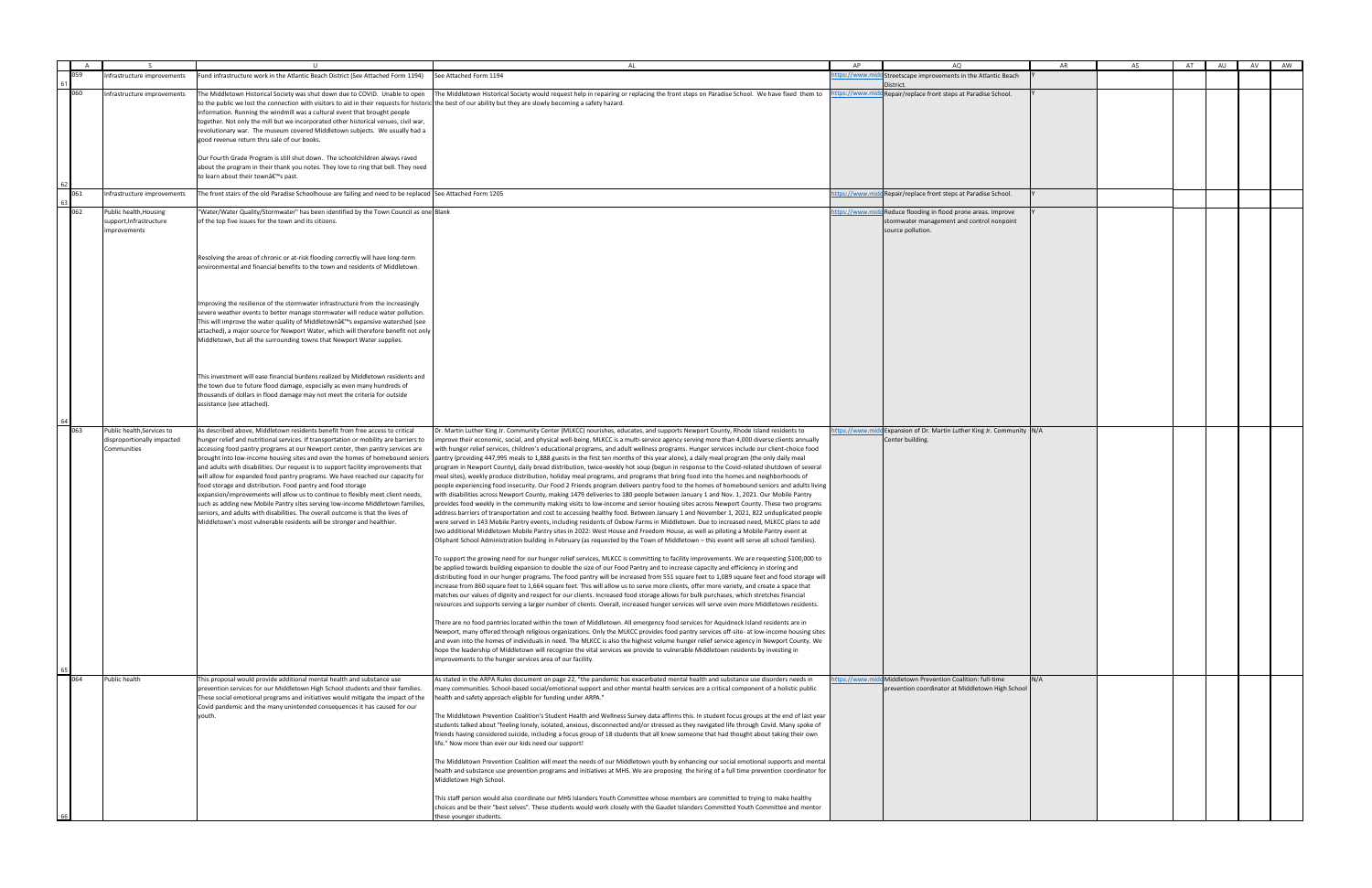|     |                                                                         |                                                                                                                                                                                                                                                                                                                                                                                                                                                                                                                                                                                                                                                                                                                                                                                                                                                                                                                    | AL                                                                                                                                                                                                                                                                                                                                                                                                                                                                                                                                                                                                                                                                                                                                                                                                                                                                                                                                                                                                                                                                                                                                                                                                                                                                                                                                                                                                                                                                                                                                                                                                                                                                                                                                                                                                                                                                                                                                                                                                                                                                                                                                                                                                                                                                                                                                                                                                                                                                                                                                                                                                                                                                                                                                                                                                                                                                                                                                                                                                                                                                                                                                                                                                                                                                                                                                                      | AP                   | AO.                                                                                                                             | AR  | AS | AT | AU | AV | AW |
|-----|-------------------------------------------------------------------------|--------------------------------------------------------------------------------------------------------------------------------------------------------------------------------------------------------------------------------------------------------------------------------------------------------------------------------------------------------------------------------------------------------------------------------------------------------------------------------------------------------------------------------------------------------------------------------------------------------------------------------------------------------------------------------------------------------------------------------------------------------------------------------------------------------------------------------------------------------------------------------------------------------------------|---------------------------------------------------------------------------------------------------------------------------------------------------------------------------------------------------------------------------------------------------------------------------------------------------------------------------------------------------------------------------------------------------------------------------------------------------------------------------------------------------------------------------------------------------------------------------------------------------------------------------------------------------------------------------------------------------------------------------------------------------------------------------------------------------------------------------------------------------------------------------------------------------------------------------------------------------------------------------------------------------------------------------------------------------------------------------------------------------------------------------------------------------------------------------------------------------------------------------------------------------------------------------------------------------------------------------------------------------------------------------------------------------------------------------------------------------------------------------------------------------------------------------------------------------------------------------------------------------------------------------------------------------------------------------------------------------------------------------------------------------------------------------------------------------------------------------------------------------------------------------------------------------------------------------------------------------------------------------------------------------------------------------------------------------------------------------------------------------------------------------------------------------------------------------------------------------------------------------------------------------------------------------------------------------------------------------------------------------------------------------------------------------------------------------------------------------------------------------------------------------------------------------------------------------------------------------------------------------------------------------------------------------------------------------------------------------------------------------------------------------------------------------------------------------------------------------------------------------------------------------------------------------------------------------------------------------------------------------------------------------------------------------------------------------------------------------------------------------------------------------------------------------------------------------------------------------------------------------------------------------------------------------------------------------------------------------------------------------------|----------------------|---------------------------------------------------------------------------------------------------------------------------------|-----|----|----|----|----|----|
| 059 | nfrastructure improvements                                              | Fund infrastructure work in the Atlantic Beach District (See Attached Form 1194)                                                                                                                                                                                                                                                                                                                                                                                                                                                                                                                                                                                                                                                                                                                                                                                                                                   | See Attached Form 1194                                                                                                                                                                                                                                                                                                                                                                                                                                                                                                                                                                                                                                                                                                                                                                                                                                                                                                                                                                                                                                                                                                                                                                                                                                                                                                                                                                                                                                                                                                                                                                                                                                                                                                                                                                                                                                                                                                                                                                                                                                                                                                                                                                                                                                                                                                                                                                                                                                                                                                                                                                                                                                                                                                                                                                                                                                                                                                                                                                                                                                                                                                                                                                                                                                                                                                                                  | tps://www.m          | Streetscape improvements in the Atlantic Beach<br>District.                                                                     |     |    |    |    |    |    |
| 060 | Infrastructure improvements                                             | The Middletown Historical Society was shut down due to COVID. Unable to open<br>to the public we lost the connection with visitors to aid in their requests for historic the best of our ability but they are slowly becoming a safety hazard.<br>information. Running the windmill was a cultural event that brought people<br>together. Not only the mill but we incorporated other historical venues, civil war,<br>revolutionary war. The museum covered Middletown subjects. We usually had a<br>good revenue return thru sale of our books.                                                                                                                                                                                                                                                                                                                                                                  | The Middletown Historical Society would request help in repairing or replacing the front steps on Paradise School. We have fixed them to                                                                                                                                                                                                                                                                                                                                                                                                                                                                                                                                                                                                                                                                                                                                                                                                                                                                                                                                                                                                                                                                                                                                                                                                                                                                                                                                                                                                                                                                                                                                                                                                                                                                                                                                                                                                                                                                                                                                                                                                                                                                                                                                                                                                                                                                                                                                                                                                                                                                                                                                                                                                                                                                                                                                                                                                                                                                                                                                                                                                                                                                                                                                                                                                                | ttps://www.mi        | c Repair/replace front steps at Paradise School.                                                                                |     |    |    |    |    |    |
|     |                                                                         | Our Fourth Grade Program is still shut down. The schoolchildren always raved<br>about the program in their thank you notes. They love to ring that bell. They need<br>to learn about their town's past.                                                                                                                                                                                                                                                                                                                                                                                                                                                                                                                                                                                                                                                                                                            |                                                                                                                                                                                                                                                                                                                                                                                                                                                                                                                                                                                                                                                                                                                                                                                                                                                                                                                                                                                                                                                                                                                                                                                                                                                                                                                                                                                                                                                                                                                                                                                                                                                                                                                                                                                                                                                                                                                                                                                                                                                                                                                                                                                                                                                                                                                                                                                                                                                                                                                                                                                                                                                                                                                                                                                                                                                                                                                                                                                                                                                                                                                                                                                                                                                                                                                                                         |                      |                                                                                                                                 |     |    |    |    |    |    |
|     | Infrastructure improvements                                             | The front stairs of the old Paradise Schoolhouse are failing and need to be replaced See Attached Form 1205                                                                                                                                                                                                                                                                                                                                                                                                                                                                                                                                                                                                                                                                                                                                                                                                        |                                                                                                                                                                                                                                                                                                                                                                                                                                                                                                                                                                                                                                                                                                                                                                                                                                                                                                                                                                                                                                                                                                                                                                                                                                                                                                                                                                                                                                                                                                                                                                                                                                                                                                                                                                                                                                                                                                                                                                                                                                                                                                                                                                                                                                                                                                                                                                                                                                                                                                                                                                                                                                                                                                                                                                                                                                                                                                                                                                                                                                                                                                                                                                                                                                                                                                                                                         |                      | ttps://www.midd Repair/replace front steps at Paradise School.                                                                  |     |    |    |    |    |    |
| 062 | Public health, Housing<br>support, Infrastructure<br>mprovements        | 'Water/Water Quality/Stormwater" has been identified by the Town Council as one Blank<br>of the top five issues for the town and its citizens.                                                                                                                                                                                                                                                                                                                                                                                                                                                                                                                                                                                                                                                                                                                                                                     |                                                                                                                                                                                                                                                                                                                                                                                                                                                                                                                                                                                                                                                                                                                                                                                                                                                                                                                                                                                                                                                                                                                                                                                                                                                                                                                                                                                                                                                                                                                                                                                                                                                                                                                                                                                                                                                                                                                                                                                                                                                                                                                                                                                                                                                                                                                                                                                                                                                                                                                                                                                                                                                                                                                                                                                                                                                                                                                                                                                                                                                                                                                                                                                                                                                                                                                                                         |                      | ttps://www.middReduce flooding in flood prone areas. Improve<br>stormwater management and control nonpoint<br>source pollution. |     |    |    |    |    |    |
|     |                                                                         | Resolving the areas of chronic or at-risk flooding correctly will have long-term<br>environmental and financial benefits to the town and residents of Middletown.                                                                                                                                                                                                                                                                                                                                                                                                                                                                                                                                                                                                                                                                                                                                                  |                                                                                                                                                                                                                                                                                                                                                                                                                                                                                                                                                                                                                                                                                                                                                                                                                                                                                                                                                                                                                                                                                                                                                                                                                                                                                                                                                                                                                                                                                                                                                                                                                                                                                                                                                                                                                                                                                                                                                                                                                                                                                                                                                                                                                                                                                                                                                                                                                                                                                                                                                                                                                                                                                                                                                                                                                                                                                                                                                                                                                                                                                                                                                                                                                                                                                                                                                         |                      |                                                                                                                                 |     |    |    |    |    |    |
|     |                                                                         | Improving the resilience of the stormwater infrastructure from the increasingly<br>severe weather events to better manage stormwater will reduce water pollution.<br>This will improve the water quality of Middletownâ€ <sup>™</sup> s expansive watershed (see<br>attached), a major source for Newport Water, which will therefore benefit not only<br>Middletown, but all the surrounding towns that Newport Water supplies.                                                                                                                                                                                                                                                                                                                                                                                                                                                                                   |                                                                                                                                                                                                                                                                                                                                                                                                                                                                                                                                                                                                                                                                                                                                                                                                                                                                                                                                                                                                                                                                                                                                                                                                                                                                                                                                                                                                                                                                                                                                                                                                                                                                                                                                                                                                                                                                                                                                                                                                                                                                                                                                                                                                                                                                                                                                                                                                                                                                                                                                                                                                                                                                                                                                                                                                                                                                                                                                                                                                                                                                                                                                                                                                                                                                                                                                                         |                      |                                                                                                                                 |     |    |    |    |    |    |
|     |                                                                         | This investment will ease financial burdens realized by Middletown residents and<br>the town due to future flood damage, especially as even many hundreds of<br>thousands of dollars in flood damage may not meet the criteria for outside<br>assistance (see attached).                                                                                                                                                                                                                                                                                                                                                                                                                                                                                                                                                                                                                                           |                                                                                                                                                                                                                                                                                                                                                                                                                                                                                                                                                                                                                                                                                                                                                                                                                                                                                                                                                                                                                                                                                                                                                                                                                                                                                                                                                                                                                                                                                                                                                                                                                                                                                                                                                                                                                                                                                                                                                                                                                                                                                                                                                                                                                                                                                                                                                                                                                                                                                                                                                                                                                                                                                                                                                                                                                                                                                                                                                                                                                                                                                                                                                                                                                                                                                                                                                         |                      |                                                                                                                                 |     |    |    |    |    |    |
| 063 | Public health, Services to<br>disproportionally impacted<br>Communities | As described above, Middletown residents benefit from free access to critical<br>hunger relief and nutritional services. If transportation or mobility are barriers to<br>accessing food pantry programs at our Newport center, then pantry services are<br>brought into low-income housing sites and even the homes of homebound seniors<br>and adults with disabilities. Our request is to support facility improvements that<br>will allow for expanded food pantry programs. We have reached our capacity for<br>food storage and distribution. Food pantry and food storage<br>expansion/improvements will allow us to continue to flexibly meet client needs,<br>such as adding new Mobile Pantry sites serving low-income Middletown families,<br>seniors, and adults with disabilities. The overall outcome is that the lives of<br>Middletown's most vulnerable residents will be stronger and healthier. | Dr. Martin Luther King Jr. Community Center (MLKCC) nourishes, educates, and supports Newport County, Rhode Island residents to<br>improve their economic, social, and physical well-being. MLKCC is a multi-service agency serving more than 4,000 diverse clients annually<br>with hunger relief services, children's educational programs, and adult wellness programs. Hunger services include our client-choice food<br>pantry (providing 447,995 meals to 1,888 guests in the first ten months of this year alone), a daily meal program (the only daily meal<br>program in Newport County), daily bread distribution, twice-weekly hot soup (begun in response to the Covid-related shutdown of several<br>meal sites), weekly produce distribution, holiday meal programs, and programs that bring food into the homes and neighborhoods of<br>people experiencing food insecurity. Our Food 2 Friends program delivers pantry food to the homes of homebound seniors and adults living<br>with disabilities across Newport County, making 1479 deliveries to 180 people between January 1 and Nov. 1, 2021. Our Mobile Pantry<br>provides food weekly in the community making visits to low-income and senior housing sites across Newport County. These two programs<br>address barriers of transportation and cost to accessing healthy food. Between January 1 and November 1, 2021, 822 unduplicated people<br>were served in 143 Mobile Pantry events, including residents of Oxbow Farms in Middletown. Due to increased need, MLKCC plans to add<br>two additional Middletown Mobile Pantry sites in 2022: West House and Freedom House, as well as piloting a Mobile Pantry event at<br>Oliphant School Administration building in February (as requested by the Town of Middletown - this event will serve all school families).<br>To support the growing need for our hunger relief services, MLKCC is committing to facility improvements. We are requesting \$100,000 to<br>be applied towards building expansion to double the size of our Food Pantry and to increase capacity and efficiency in storing and<br>distributing food in our hunger programs. The food pantry will be increased from 551 square feet to 1,089 square feet and food storage will<br>increase from 860 square feet to 1,664 square feet. This will allow us to serve more clients, offer more variety, and create a space that<br>matches our values of dignity and respect for our clients. Increased food storage allows for bulk purchases, which stretches financial<br>resources and supports serving a larger number of clients. Overall, increased hunger services will serve even more Middletown residents.<br>There are no food pantries located within the town of Middletown. All emergency food services for Aquidneck Island residents are in<br>Newport, many offered through religious organizations. Only the MLKCC provides food pantry services off-site- at low-income housing sites<br>and even into the homes of individuals in need. The MLKCC is also the highest volume hunger relief service agency in Newport County. We<br>hope the leadership of Middletown will recognize the vital services we provide to vulnerable Middletown residents by investing in<br>improvements to the hunger services area of our facility. |                      | ttps://www.midd Expansion of Dr. Martin Luther King Jr. Community N/A<br>Center building.                                       |     |    |    |    |    |    |
| 064 | Public health                                                           | This proposal would provide additional mental health and substance use<br>prevention services for our Middletown High School students and their families.<br>These social emotional programs and initiatives would mitigate the impact of the<br>Covid pandemic and the many unintended consequences it has caused for our<br>youth.                                                                                                                                                                                                                                                                                                                                                                                                                                                                                                                                                                               | As stated in the ARPA Rules document on page 22, "the pandemic has exacerbated mental health and substance use disorders needs in<br>many communities. School-based social/emotional support and other mental health services are a critical component of a holistic public<br>health and safety approach eligible for funding under ARPA."<br>The Middletown Prevention Coalition's Student Health and Wellness Survey data affirms this. In student focus groups at the end of last year<br>students talked about "feeling lonely, isolated, anxious, disconnected and/or stressed as they navigated life through Covid. Many spoke of<br>friends having considered suicide, including a focus group of 18 students that all knew someone that had thought about taking their own<br>life." Now more than ever our kids need our support!<br>The Middletown Prevention Coalition will meet the needs of our Middletown youth by enhancing our social emotional supports and mental<br>health and substance use prevention programs and initiatives at MHS. We are proposing the hiring of a full time prevention coordinator for<br>Middletown High School.<br>This staff person would also coordinate our MHS Islanders Youth Committee whose members are committed to trying to make healthy                                                                                                                                                                                                                                                                                                                                                                                                                                                                                                                                                                                                                                                                                                                                                                                                                                                                                                                                                                                                                                                                                                                                                                                                                                                                                                                                                                                                                                                                                                                                                                                                                                                                                                                                                                                                                                                                                                                                                                                                                                                        | <u>ttps://www.mi</u> | d Middletown Prevention Coalition: full-time<br>prevention coordinator at Middletown High School                                | N/A |    |    |    |    |    |
|     |                                                                         |                                                                                                                                                                                                                                                                                                                                                                                                                                                                                                                                                                                                                                                                                                                                                                                                                                                                                                                    | choices and be their "best selves". These students would work closely with the Gaudet Islanders Committed Youth Committee and mentor<br>these younger students.                                                                                                                                                                                                                                                                                                                                                                                                                                                                                                                                                                                                                                                                                                                                                                                                                                                                                                                                                                                                                                                                                                                                                                                                                                                                                                                                                                                                                                                                                                                                                                                                                                                                                                                                                                                                                                                                                                                                                                                                                                                                                                                                                                                                                                                                                                                                                                                                                                                                                                                                                                                                                                                                                                                                                                                                                                                                                                                                                                                                                                                                                                                                                                                         |                      |                                                                                                                                 |     |    |    |    |    |    |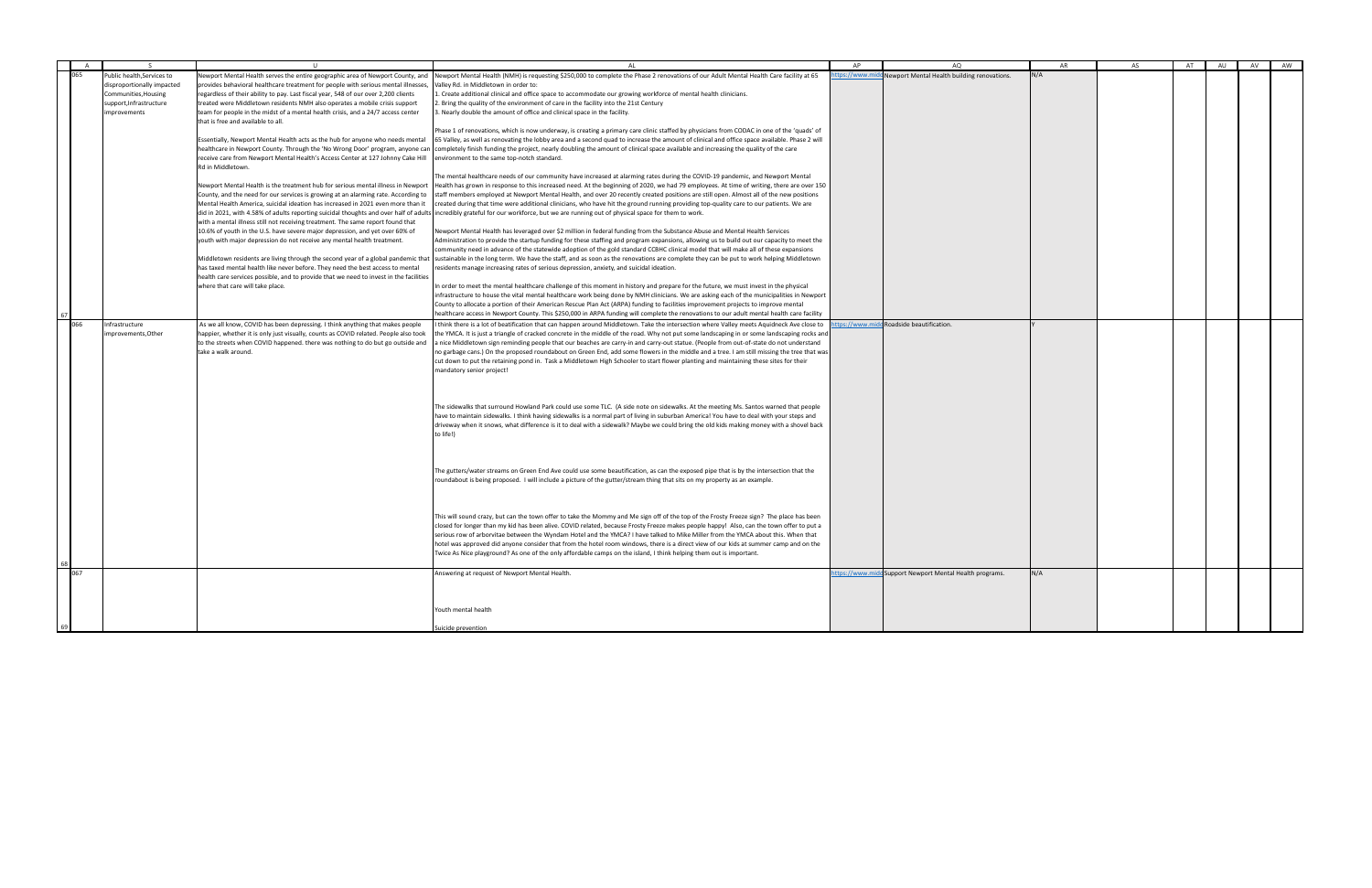| $\overline{A}$ |                            |                                                                                        | $\Delta$                                                                                                                                                                                                           | AP             | AO                                                         | AR | AS | AT | AU | AV | AW |
|----------------|----------------------------|----------------------------------------------------------------------------------------|--------------------------------------------------------------------------------------------------------------------------------------------------------------------------------------------------------------------|----------------|------------------------------------------------------------|----|----|----|----|----|----|
| 065            | Public health, Services to | Newport Mental Health serves the entire geographic area of Newport County, and         | Newport Mental Health (NMH) is requesting \$250,000 to complete the Phase 2 renovations of our Adult Mental Health Care facility at 65                                                                             |                | ttps://www.middNewport Mental Health building renovations. |    |    |    |    |    |    |
|                | disproportionally impacted | provides behavioral healthcare treatment for people with serious mental illnesses,     | Valley Rd. in Middletown in order to:                                                                                                                                                                              |                |                                                            |    |    |    |    |    |    |
|                | Communities, Housing       | regardless of their ability to pay. Last fiscal year, 548 of our over 2,200 clients    | 1. Create additional clinical and office space to accommodate our growing workforce of mental health clinicians.                                                                                                   |                |                                                            |    |    |    |    |    |    |
|                | support, Infrastructure    | treated were Middletown residents NMH also operates a mobile crisis support            | 2. Bring the quality of the environment of care in the facility into the 21st Century                                                                                                                              |                |                                                            |    |    |    |    |    |    |
|                | mprovements                | team for people in the midst of a mental health crisis, and a 24/7 access center       | 3. Nearly double the amount of office and clinical space in the facility.                                                                                                                                          |                |                                                            |    |    |    |    |    |    |
|                |                            | that is free and available to all.                                                     |                                                                                                                                                                                                                    |                |                                                            |    |    |    |    |    |    |
|                |                            |                                                                                        | Phase 1 of renovations, which is now underway, is creating a primary care clinic staffed by physicians from CODAC in one of the 'quads' of                                                                         |                |                                                            |    |    |    |    |    |    |
|                |                            | Essentially, Newport Mental Health acts as the hub for anyone who needs mental         | 65 Valley, as well as renovating the lobby area and a second quad to increase the amount of clinical and office space available. Phase 2 will                                                                      |                |                                                            |    |    |    |    |    |    |
|                |                            |                                                                                        |                                                                                                                                                                                                                    |                |                                                            |    |    |    |    |    |    |
|                |                            |                                                                                        | healthcare in Newport County. Through the 'No Wrong Door' program, anyone can completely finish funding the project, nearly doubling the amount of clinical space available and increasing the quality of the care |                |                                                            |    |    |    |    |    |    |
|                |                            | receive care from Newport Mental Health's Access Center at 127 Johnny Cake Hill        | environment to the same top-notch standard.                                                                                                                                                                        |                |                                                            |    |    |    |    |    |    |
|                |                            | Rd in Middletown.                                                                      |                                                                                                                                                                                                                    |                |                                                            |    |    |    |    |    |    |
|                |                            |                                                                                        | The mental healthcare needs of our community have increased at alarming rates during the COVID-19 pandemic, and Newport Mental                                                                                     |                |                                                            |    |    |    |    |    |    |
|                |                            | Newport Mental Health is the treatment hub for serious mental illness in Newport       | Health has grown in response to this increased need. At the beginning of 2020, we had 79 employees. At time of writing, there are over 150                                                                         |                |                                                            |    |    |    |    |    |    |
|                |                            | County, and the need for our services is growing at an alarming rate. According to     | staff members employed at Newport Mental Health, and over 20 recently created positions are still open. Almost all of the new positions                                                                            |                |                                                            |    |    |    |    |    |    |
|                |                            | Mental Health America, suicidal ideation has increased in 2021 even more than it       | created during that time were additional clinicians, who have hit the ground running providing top-quality care to our patients. We are                                                                            |                |                                                            |    |    |    |    |    |    |
|                |                            |                                                                                        | did in 2021, with 4.58% of adults reporting suicidal thoughts and over half of adults incredibly grateful for our workforce, but we are running out of physical space for them to work.                            |                |                                                            |    |    |    |    |    |    |
|                |                            | with a mental illness still not receiving treatment. The same report found that        |                                                                                                                                                                                                                    |                |                                                            |    |    |    |    |    |    |
|                |                            | 10.6% of youth in the U.S. have severe major depression, and yet over 60% of           | Newport Mental Health has leveraged over \$2 million in federal funding from the Substance Abuse and Mental Health Services                                                                                        |                |                                                            |    |    |    |    |    |    |
|                |                            | youth with major depression do not receive any mental health treatment.                | Administration to provide the startup funding for these staffing and program expansions, allowing us to build out our capacity to meet the                                                                         |                |                                                            |    |    |    |    |    |    |
|                |                            |                                                                                        | community need in advance of the statewide adoption of the gold standard CCBHC clinical model that will make all of these expansions                                                                               |                |                                                            |    |    |    |    |    |    |
|                |                            | Middletown residents are living through the second year of a global pandemic that      | sustainable in the long term. We have the staff, and as soon as the renovations are complete they can be put to work helping Middletown                                                                            |                |                                                            |    |    |    |    |    |    |
|                |                            | has taxed mental health like never before. They need the best access to mental         | residents manage increasing rates of serious depression, anxiety, and suicidal ideation.                                                                                                                           |                |                                                            |    |    |    |    |    |    |
|                |                            | health care services possible, and to provide that we need to invest in the facilities |                                                                                                                                                                                                                    |                |                                                            |    |    |    |    |    |    |
|                |                            | where that care will take place.                                                       | In order to meet the mental healthcare challenge of this moment in history and prepare for the future, we must invest in the physical                                                                              |                |                                                            |    |    |    |    |    |    |
|                |                            |                                                                                        | infrastructure to house the vital mental healthcare work being done by NMH clinicians. We are asking each of the municipalities in Newport                                                                         |                |                                                            |    |    |    |    |    |    |
|                |                            |                                                                                        | County to allocate a portion of their American Rescue Plan Act (ARPA) funding to facilities improvement projects to improve mental                                                                                 |                |                                                            |    |    |    |    |    |    |
|                |                            |                                                                                        | healthcare access in Newport County. This \$250,000 in ARPA funding will complete the renovations to our adult mental health care facility                                                                         |                |                                                            |    |    |    |    |    |    |
| 066            |                            |                                                                                        |                                                                                                                                                                                                                    |                |                                                            |    |    |    |    |    |    |
|                | Infrastructure             | As we all know, COVID has been depressing. I think anything that makes people          | I think there is a lot of beatification that can happen around Middletown. Take the intersection where Valley meets Aquidneck Ave close to                                                                         | ttps://www.mid | c Roadside beautification.                                 |    |    |    |    |    |    |
|                | improvements, Other        | happier, whether it is only just visually, counts as COVID related. People also took   | the YMCA. It is just a triangle of cracked concrete in the middle of the road. Why not put some landscaping in or some landscaping rocks and                                                                       |                |                                                            |    |    |    |    |    |    |
|                |                            | to the streets when COVID happened. there was nothing to do but go outside and         | a nice Middletown sign reminding people that our beaches are carry-in and carry-out statue. (People from out-of-state do not understand                                                                            |                |                                                            |    |    |    |    |    |    |
|                |                            | take a walk around.                                                                    | no garbage cans.) On the proposed roundabout on Green End, add some flowers in the middle and a tree. I am still missing the tree that was                                                                         |                |                                                            |    |    |    |    |    |    |
|                |                            |                                                                                        | cut down to put the retaining pond in. Task a Middletown High Schooler to start flower planting and maintaining these sites for their                                                                              |                |                                                            |    |    |    |    |    |    |
|                |                            |                                                                                        | mandatory senior project!                                                                                                                                                                                          |                |                                                            |    |    |    |    |    |    |
|                |                            |                                                                                        |                                                                                                                                                                                                                    |                |                                                            |    |    |    |    |    |    |
|                |                            |                                                                                        |                                                                                                                                                                                                                    |                |                                                            |    |    |    |    |    |    |
|                |                            |                                                                                        |                                                                                                                                                                                                                    |                |                                                            |    |    |    |    |    |    |
|                |                            |                                                                                        | The sidewalks that surround Howland Park could use some TLC. (A side note on sidewalks. At the meeting Ms. Santos warned that people                                                                               |                |                                                            |    |    |    |    |    |    |
|                |                            |                                                                                        | have to maintain sidewalks. I think having sidewalks is a normal part of living in suburban America! You have to deal with your steps and                                                                          |                |                                                            |    |    |    |    |    |    |
|                |                            |                                                                                        | driveway when it snows, what difference is it to deal with a sidewalk? Maybe we could bring the old kids making money with a shovel back                                                                           |                |                                                            |    |    |    |    |    |    |
|                |                            |                                                                                        | to life!)                                                                                                                                                                                                          |                |                                                            |    |    |    |    |    |    |
|                |                            |                                                                                        |                                                                                                                                                                                                                    |                |                                                            |    |    |    |    |    |    |
|                |                            |                                                                                        |                                                                                                                                                                                                                    |                |                                                            |    |    |    |    |    |    |
|                |                            |                                                                                        |                                                                                                                                                                                                                    |                |                                                            |    |    |    |    |    |    |
|                |                            |                                                                                        | The gutters/water streams on Green End Ave could use some beautification, as can the exposed pipe that is by the intersection that the                                                                             |                |                                                            |    |    |    |    |    |    |
|                |                            |                                                                                        | roundabout is being proposed. I will include a picture of the gutter/stream thing that sits on my property as an example.                                                                                          |                |                                                            |    |    |    |    |    |    |
|                |                            |                                                                                        |                                                                                                                                                                                                                    |                |                                                            |    |    |    |    |    |    |
|                |                            |                                                                                        |                                                                                                                                                                                                                    |                |                                                            |    |    |    |    |    |    |
|                |                            |                                                                                        |                                                                                                                                                                                                                    |                |                                                            |    |    |    |    |    |    |
|                |                            |                                                                                        | This will sound crazy, but can the town offer to take the Mommy and Me sign off of the top of the Frosty Freeze sign? The place has been                                                                           |                |                                                            |    |    |    |    |    |    |
|                |                            |                                                                                        | closed for longer than my kid has been alive. COVID related, because Frosty Freeze makes people happy! Also, can the town offer to put a                                                                           |                |                                                            |    |    |    |    |    |    |
|                |                            |                                                                                        | serious row of arborvitae between the Wyndam Hotel and the YMCA? I have talked to Mike Miller from the YMCA about this. When that                                                                                  |                |                                                            |    |    |    |    |    |    |
|                |                            |                                                                                        |                                                                                                                                                                                                                    |                |                                                            |    |    |    |    |    |    |
|                |                            |                                                                                        | hotel was approved did anyone consider that from the hotel room windows, there is a direct view of our kids at summer camp and on the                                                                              |                |                                                            |    |    |    |    |    |    |
|                |                            |                                                                                        | Twice As Nice playground? As one of the only affordable camps on the island, I think helping them out is important.                                                                                                |                |                                                            |    |    |    |    |    |    |
|                |                            |                                                                                        |                                                                                                                                                                                                                    |                |                                                            |    |    |    |    |    |    |
|                |                            |                                                                                        | Answering at request of Newport Mental Health.                                                                                                                                                                     | ttps://www.mid | c Support Newport Mental Health programs.                  |    |    |    |    |    |    |
|                |                            |                                                                                        |                                                                                                                                                                                                                    |                |                                                            |    |    |    |    |    |    |
|                |                            |                                                                                        |                                                                                                                                                                                                                    |                |                                                            |    |    |    |    |    |    |
|                |                            |                                                                                        |                                                                                                                                                                                                                    |                |                                                            |    |    |    |    |    |    |
|                |                            |                                                                                        | Youth mental health                                                                                                                                                                                                |                |                                                            |    |    |    |    |    |    |
|                |                            |                                                                                        |                                                                                                                                                                                                                    |                |                                                            |    |    |    |    |    |    |
|                |                            |                                                                                        | Suicide prevention                                                                                                                                                                                                 |                |                                                            |    |    |    |    |    |    |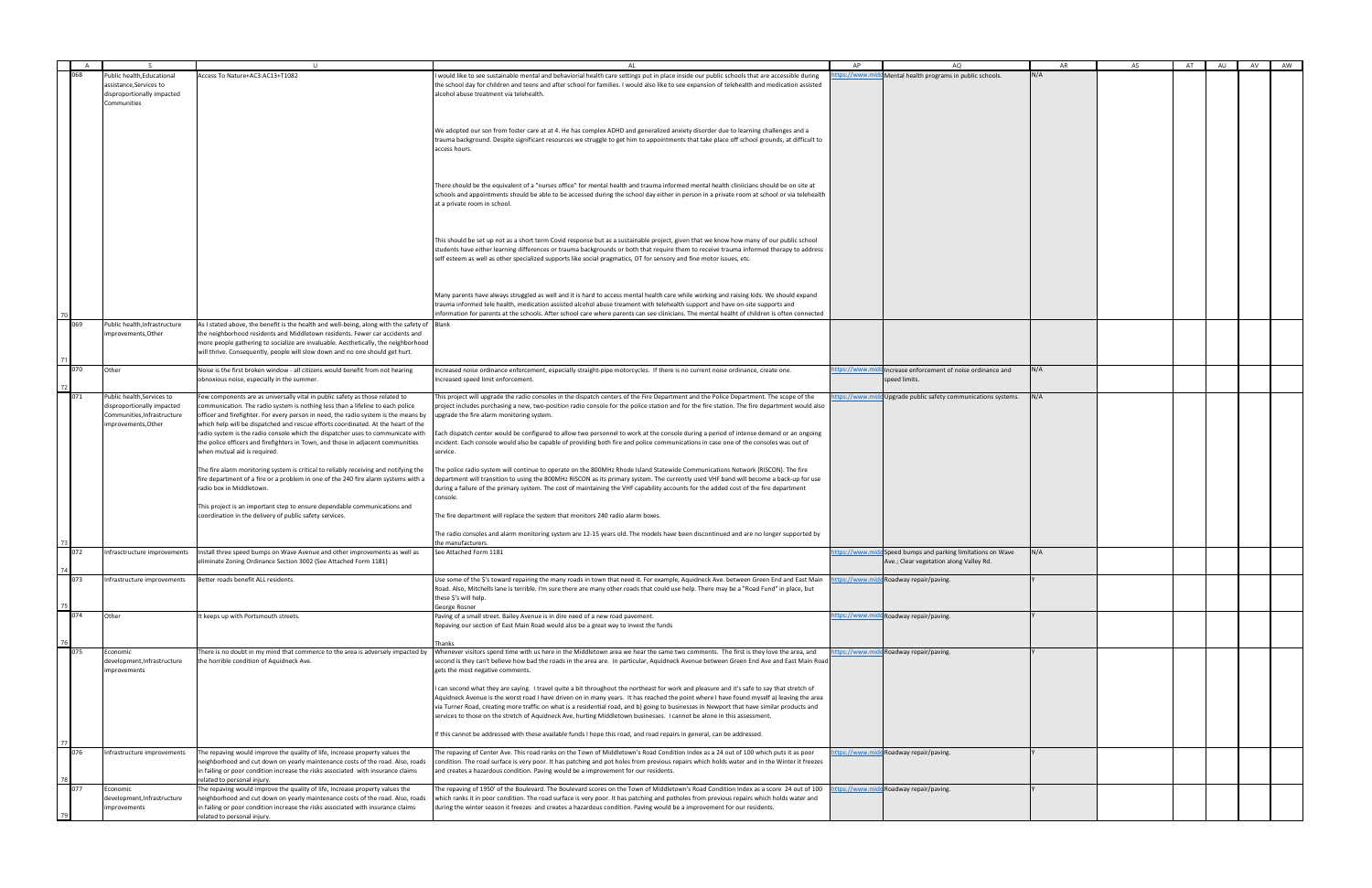|     |                                                                                                    | $\mathbf{U}$                                                                                                                                                                                                                                                                                                                                      | AI                                                                                                                                                                                                                                                                                                                                                                                                                       | AP            | AO                                                           | AR  | AS | AT | AU | AV | AW |
|-----|----------------------------------------------------------------------------------------------------|---------------------------------------------------------------------------------------------------------------------------------------------------------------------------------------------------------------------------------------------------------------------------------------------------------------------------------------------------|--------------------------------------------------------------------------------------------------------------------------------------------------------------------------------------------------------------------------------------------------------------------------------------------------------------------------------------------------------------------------------------------------------------------------|---------------|--------------------------------------------------------------|-----|----|----|----|----|----|
| 068 | Public health, Educational<br>assistance, Services to<br>disproportionally impacted<br>Communities | Access To Nature+AC3:AC13+T1082                                                                                                                                                                                                                                                                                                                   | would like to see sustainable mental and behaviorial health care settings put in place inside our public schools that are accessible during<br>the school day for children and teens and after school for families. I would also like to see expansion of telehealth and medication assisted<br>alcohol abuse treatment via telehealth.                                                                                  |               | tps://www.midq Mental health programs in public schools      | N/A |    |    |    |    |    |
|     |                                                                                                    |                                                                                                                                                                                                                                                                                                                                                   | We adopted our son from foster care at at 4. He has complex ADHD and generalized anxiety disorder due to learning challenges and a<br>trauma background. Despite significant resources we struggle to get him to appointments that take place off school grounds, at difficult to<br>access hours.                                                                                                                       |               |                                                              |     |    |    |    |    |    |
|     |                                                                                                    |                                                                                                                                                                                                                                                                                                                                                   | There should be the equivalent of a "nurses office" for mental health and trauma informed mental health cliniicians should be on site at<br>schools and appointments should be able to be accessed during the school day either in person in a private room at school or via telehealth<br>at a private room in school.                                                                                                  |               |                                                              |     |    |    |    |    |    |
|     |                                                                                                    |                                                                                                                                                                                                                                                                                                                                                   | This should be set up not as a short term Covid response but as a sustainable project, given that we know how many of our public school<br>students have either learning differences or trauma backgrounds or both that require them to receive trauma informed therapy to address<br>self esteem as well as other specialized supports like social pragmatics, OT for sensory and fine motor issues, etc.               |               |                                                              |     |    |    |    |    |    |
|     |                                                                                                    |                                                                                                                                                                                                                                                                                                                                                   | Many parents have always struggled as well and it is hard to access mental health care while working and raising kids. We should expand<br>trauma informed tele health, medication assisted alcohol abuse treament with telehealth support and have on-site supports and<br>information for parents at the schools. After school care where parents can see clinicians. The mental healht of children is often connected |               |                                                              |     |    |    |    |    |    |
| 069 | Public health, Infrastructure<br>improvements, Other                                               | As I stated above, the benefit is the health and well-being, along with the safety of Blank<br>the neighborhood residents and Middletown residents. Fewer car accidents and<br>more people gathering to socialize are invaluable. Aesthetically, the neighborhood<br>will thrive. Consequently, people will slow down and no one should get hurt. |                                                                                                                                                                                                                                                                                                                                                                                                                          |               |                                                              |     |    |    |    |    |    |
| 070 | Other                                                                                              | Noise is the first broken window - all citizens would benefit from not hearing<br>obnoxious noise, especially in the summer.                                                                                                                                                                                                                      | ncreased noise ordinance enforcement, especially straight-pipe motorcycles. If there is no current noise ordinance, create one.<br>Increased speed limit enforcement.                                                                                                                                                                                                                                                    | tps://www.mi  | Increase enforcement of noise ordinance and<br>speed limits. | N/A |    |    |    |    |    |
| 071 | Public health, Services to                                                                         | Few components are as universally vital in public safety as those related to                                                                                                                                                                                                                                                                      | This project will upgrade the radio consoles in the dispatch centers of the Fire Department and the Police Department. The scope of the                                                                                                                                                                                                                                                                                  | ttps://www.mi | Upgrade public safety communications systems.                | N/A |    |    |    |    |    |
|     | disproportionally impacted                                                                         | communication. The radio system is nothing less than a lifeline to each police                                                                                                                                                                                                                                                                    | project includes purchasing a new, two-position radio console for the police station and for the fire station. The fire department would also                                                                                                                                                                                                                                                                            |               |                                                              |     |    |    |    |    |    |
|     | Communities, Infrastructure                                                                        | officer and firefighter. For every person in need, the radio system is the means by                                                                                                                                                                                                                                                               | upgrade the fire alarm monitoring system.                                                                                                                                                                                                                                                                                                                                                                                |               |                                                              |     |    |    |    |    |    |
|     | improvements, Other                                                                                | which help will be dispatched and rescue efforts coordinated. At the heart of the                                                                                                                                                                                                                                                                 |                                                                                                                                                                                                                                                                                                                                                                                                                          |               |                                                              |     |    |    |    |    |    |
|     |                                                                                                    | radio system is the radio console which the dispatcher uses to communicate with                                                                                                                                                                                                                                                                   | Each dispatch center would be configured to allow two personnel to work at the console during a period of intense demand or an ongoing                                                                                                                                                                                                                                                                                   |               |                                                              |     |    |    |    |    |    |
|     |                                                                                                    | the police officers and firefighters in Town, and those in adjacent communities                                                                                                                                                                                                                                                                   | incident. Each console would also be capable of providing both fire and police communications in case one of the consoles was out of                                                                                                                                                                                                                                                                                     |               |                                                              |     |    |    |    |    |    |
|     |                                                                                                    | when mutual aid is required.                                                                                                                                                                                                                                                                                                                      | service.                                                                                                                                                                                                                                                                                                                                                                                                                 |               |                                                              |     |    |    |    |    |    |
|     |                                                                                                    | The fire alarm monitoring system is critical to reliably receiving and notifying the                                                                                                                                                                                                                                                              | The police radio system will continue to operate on the 800MHz Rhode Island Statewide Communications Network (RISCON). The fire                                                                                                                                                                                                                                                                                          |               |                                                              |     |    |    |    |    |    |
|     |                                                                                                    | fire department of a fire or a problem in one of the 240 fire alarm systems with a                                                                                                                                                                                                                                                                | department will transition to using the 800MHz RISCON as its primary system. The currently used VHF band will become a back-up for use                                                                                                                                                                                                                                                                                   |               |                                                              |     |    |    |    |    |    |
|     |                                                                                                    | radio box in Middletown.                                                                                                                                                                                                                                                                                                                          | during a failure of the primary system. The cost of maintaining the VHF capability accounts for the added cost of the fire department                                                                                                                                                                                                                                                                                    |               |                                                              |     |    |    |    |    |    |
|     |                                                                                                    |                                                                                                                                                                                                                                                                                                                                                   | console.                                                                                                                                                                                                                                                                                                                                                                                                                 |               |                                                              |     |    |    |    |    |    |
|     |                                                                                                    | This project is an important step to ensure dependable communications and<br>coordination in the delivery of public safety services.                                                                                                                                                                                                              | The fire department will replace the system that monitors 240 radio alarm boxes.                                                                                                                                                                                                                                                                                                                                         |               |                                                              |     |    |    |    |    |    |
| 072 | Infrasctructure improvements                                                                       |                                                                                                                                                                                                                                                                                                                                                   | The radio consoles and alarm monitoring system are 12-15 years old. The models have been discontinued and are no longer supported by<br>the manufacturers<br>See Attached Form 1181                                                                                                                                                                                                                                      |               | ttps://www.middSpeed bumps and parking limitations on Wave   | N/A |    |    |    |    |    |
|     |                                                                                                    | Install three speed bumps on Wave Avenue and other improvements as well as<br>iminate Zoning Ordinance Section 3002 (See Attached Form 1181)                                                                                                                                                                                                      |                                                                                                                                                                                                                                                                                                                                                                                                                          |               | Ave.; Clear vegetation along Valley Rd.                      |     |    |    |    |    |    |
| 073 | Infrastructure improvements                                                                        | Better roads benefit ALL residents.                                                                                                                                                                                                                                                                                                               | Use some of the \$'s toward repairing the many roads in town that need it. For example, Aquidneck Ave. between Green End and East Main                                                                                                                                                                                                                                                                                   |               | ttps://www.midc Roadway repair/paving.                       |     |    |    |    |    |    |
|     |                                                                                                    |                                                                                                                                                                                                                                                                                                                                                   | Road. Also, Mitchells lane is terrible. I'm sure there are many other roads that could use help. There may be a "Road Fund" in place, but<br>these \$'s will help.<br>George Rosner                                                                                                                                                                                                                                      |               |                                                              |     |    |    |    |    |    |
| 074 | Other                                                                                              | t keeps up with Portsmouth streets.                                                                                                                                                                                                                                                                                                               | Paving of a small street. Bailey Avenue is in dire need of a new road pavement.<br>Repaving our section of East Main Road would also be a great way to invest the funds                                                                                                                                                                                                                                                  |               | ttps://www.midc Roadway repair/paving.                       |     |    |    |    |    |    |
|     |                                                                                                    |                                                                                                                                                                                                                                                                                                                                                   | Thanks                                                                                                                                                                                                                                                                                                                                                                                                                   |               |                                                              |     |    |    |    |    |    |
| 075 | Economic                                                                                           | here is no doubt in my mind that commerce to the area is adversely impacted by                                                                                                                                                                                                                                                                    | Whenever visitors spend time with us here in the Middletown area we hear the same two comments. The first is they love the area, and                                                                                                                                                                                                                                                                                     |               | ttps://www.midc Roadway repair/paving.                       |     |    |    |    |    |    |
|     | development, Infrastructure<br>improvements                                                        | the horrible condition of Aquidneck Ave.                                                                                                                                                                                                                                                                                                          | second is they can't believe how bad the roads in the area are. In particular, Aquidneck Avenue between Green End Ave and East Main Road<br>gets the most negative comments.                                                                                                                                                                                                                                             |               |                                                              |     |    |    |    |    |    |
|     |                                                                                                    |                                                                                                                                                                                                                                                                                                                                                   | can second what they are saying. I travel quite a bit throughout the northeast for work and pleasure and it's safe to say that stretch of                                                                                                                                                                                                                                                                                |               |                                                              |     |    |    |    |    |    |
|     |                                                                                                    |                                                                                                                                                                                                                                                                                                                                                   | Aquidneck Avenue is the worst road I have driven on in many years. It has reached the point where I have found myself a) leaving the area                                                                                                                                                                                                                                                                                |               |                                                              |     |    |    |    |    |    |
|     |                                                                                                    |                                                                                                                                                                                                                                                                                                                                                   | via Turner Road, creating more traffic on what is a residential road, and b) going to businesses in Newport that have similar products and                                                                                                                                                                                                                                                                               |               |                                                              |     |    |    |    |    |    |
|     |                                                                                                    |                                                                                                                                                                                                                                                                                                                                                   | services to those on the stretch of Aquidneck Ave, hurting Middletown businesses. I cannot be alone in this assessment.                                                                                                                                                                                                                                                                                                  |               |                                                              |     |    |    |    |    |    |
|     |                                                                                                    |                                                                                                                                                                                                                                                                                                                                                   | If this cannot be addressed with these available funds I hope this road, and road repairs in general, can be addressed.                                                                                                                                                                                                                                                                                                  |               |                                                              |     |    |    |    |    |    |
|     |                                                                                                    |                                                                                                                                                                                                                                                                                                                                                   |                                                                                                                                                                                                                                                                                                                                                                                                                          |               |                                                              |     |    |    |    |    |    |
|     | Infrastructure improvements                                                                        | The repaving would improve the quality of life, increase property values the                                                                                                                                                                                                                                                                      | The repaving of Center Ave. This road ranks on the Town of Middletown's Road Condition Index as a 24 out of 100 which puts it as poor                                                                                                                                                                                                                                                                                    |               | tps://www.midc Roadway repair/paving.                        |     |    |    |    |    |    |
|     |                                                                                                    | neighborhood and cut down on yearly maintenance costs of the road. Also, roads                                                                                                                                                                                                                                                                    | condition. The road surface is very poor. It has patching and pot holes from previous repairs which holds water and in the Winter it freezes                                                                                                                                                                                                                                                                             |               |                                                              |     |    |    |    |    |    |
|     |                                                                                                    | in failing or poor condition increase the risks associated with insurance claims<br>elated to personal injury.                                                                                                                                                                                                                                    | and creates a hazardous condition. Paving would be a improvement for our residents.                                                                                                                                                                                                                                                                                                                                      |               |                                                              |     |    |    |    |    |    |
| 077 | Economic                                                                                           | The repaving would improve the quality of life, increase property values the                                                                                                                                                                                                                                                                      | The repaving of 1950' of the Boulevard. The Boulevard scores on the Town of Middletown's Road Condition Index as a score 24 out of 100                                                                                                                                                                                                                                                                                   |               | ttps://www.midc Roadway repair/paving.                       |     |    |    |    |    |    |
|     | development, Infrastructure                                                                        | neighborhood and cut down on yearly maintenance costs of the road. Also, roads                                                                                                                                                                                                                                                                    | which ranks it in poor condition. The road surface is very poor. It has patching and potholes from previous repairs which holds water and                                                                                                                                                                                                                                                                                |               |                                                              |     |    |    |    |    |    |
|     | improvements                                                                                       | in failing or poor condition increase the risks associated with insurance claims                                                                                                                                                                                                                                                                  | during the winter season it freezes and creates a hazardous condition. Paving would be a improvement for our residents.                                                                                                                                                                                                                                                                                                  |               |                                                              |     |    |    |    |    |    |
|     |                                                                                                    | related to personal injury.                                                                                                                                                                                                                                                                                                                       |                                                                                                                                                                                                                                                                                                                                                                                                                          |               |                                                              |     |    |    |    |    |    |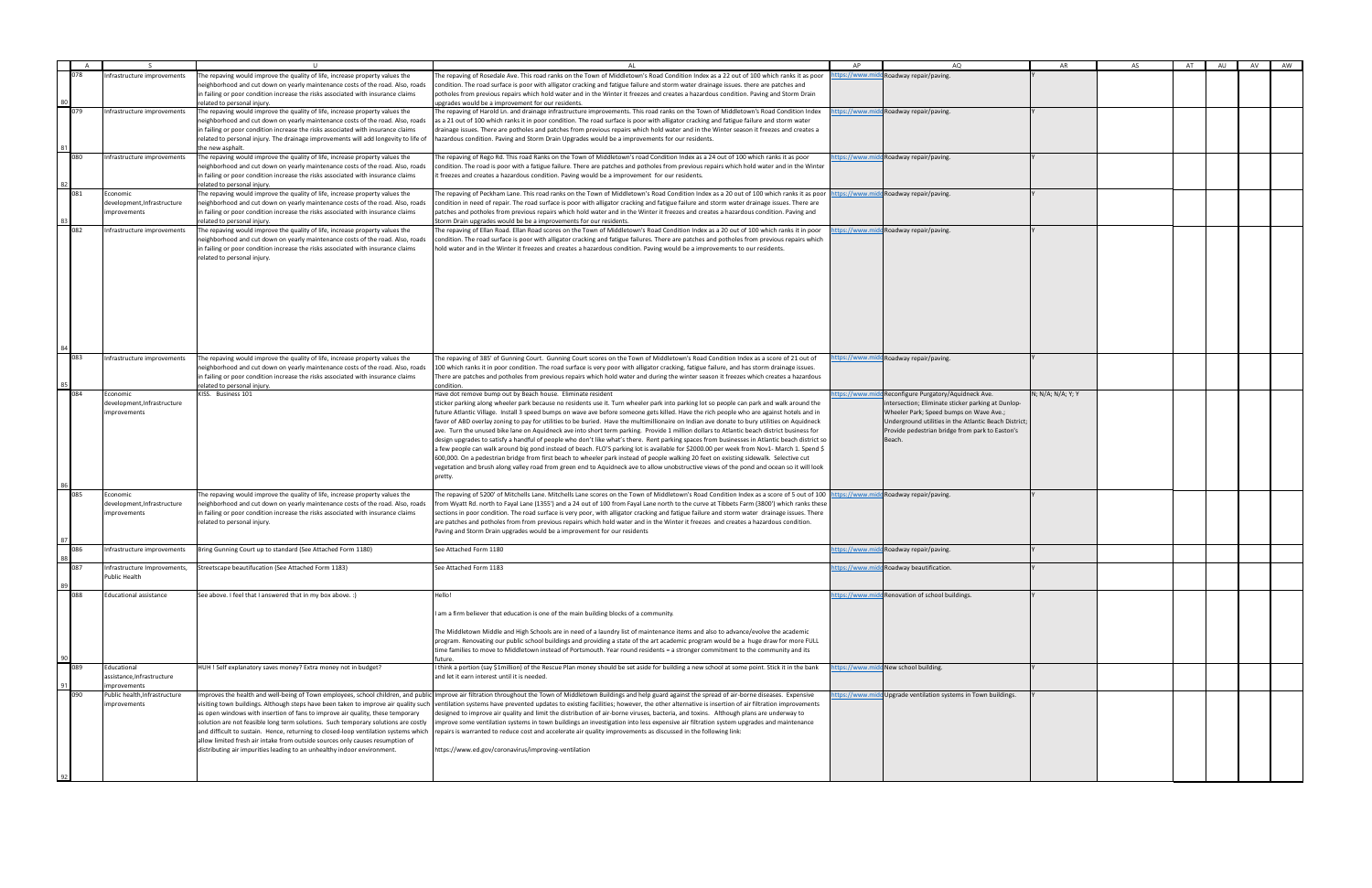|     | A                             | - 11                                                                                | AL                                                                                                                                            | AP           | AO                                                            | AR                       | AS | AT | AU | AV | AW |
|-----|-------------------------------|-------------------------------------------------------------------------------------|-----------------------------------------------------------------------------------------------------------------------------------------------|--------------|---------------------------------------------------------------|--------------------------|----|----|----|----|----|
|     | Infrastructure improvements   | The repaving would improve the quality of life, increase property values the        | The repaving of Rosedale Ave. This road ranks on the Town of Middletown's Road Condition Index as a 22 out of 100 which ranks it as poor      |              | tps://www.middRoadway repair/paving.                          |                          |    |    |    |    |    |
|     |                               | neighborhood and cut down on yearly maintenance costs of the road. Also, roads      | ondition. The road surface is poor with alligator cracking and fatigue failure and storm water drainage issues. there are patches and         |              |                                                               |                          |    |    |    |    |    |
|     |                               | in failing or poor condition increase the risks associated with insurance claims    | potholes from previous repairs which hold water and in the Winter it freezes and creates a hazardous condition. Paving and Storm Drain        |              |                                                               |                          |    |    |    |    |    |
|     |                               | related to personal injury.                                                         | upgrades would be a improvement for our residents.                                                                                            |              |                                                               |                          |    |    |    |    |    |
|     | Infrastructure improvements   | The repaving would improve the quality of life, increase property values the        | The repaving of Harold Ln. and drainage infrastructure improvements. This road ranks on the Town of Middletown's Road Condition Index         |              | tps://www.midc Roadway repair/paving.                         |                          |    |    |    |    |    |
|     |                               | neighborhood and cut down on yearly maintenance costs of the road. Also, roads      | as a 21 out of 100 which ranks it in poor condition. The road surface is poor with alligator cracking and fatigue failure and storm water     |              |                                                               |                          |    |    |    |    |    |
|     |                               | in failing or poor condition increase the risks associated with insurance claims    | drainage issues. There are potholes and patches from previous repairs which hold water and in the Winter season it freezes and creates a      |              |                                                               |                          |    |    |    |    |    |
|     |                               |                                                                                     |                                                                                                                                               |              |                                                               |                          |    |    |    |    |    |
|     |                               | related to personal injury. The drainage improvements will add longevity to life of | hazardous condition. Paving and Storm Drain Upgrades would be a improvements for our residents.                                               |              |                                                               |                          |    |    |    |    |    |
|     |                               | the new asphalt.                                                                    |                                                                                                                                               |              |                                                               |                          |    |    |    |    |    |
|     | Infrastructure improvements   | The repaving would improve the quality of life, increase property values the        | The repaving of Rego Rd. This road Ranks on the Town of Middletown's road Condition Index as a 24 out of 100 which ranks it as poor           |              | ttps://www.midc Roadway repair/paving.                        |                          |    |    |    |    |    |
|     |                               | neighborhood and cut down on yearly maintenance costs of the road. Also, roads      | condition. The road is poor with a fatigue failure. There are patches and potholes from previous repairs which hold water and in the Winter   |              |                                                               |                          |    |    |    |    |    |
|     |                               | in failing or poor condition increase the risks associated with insurance claims    | it freezes and creates a hazardous condition. Paving would be a improvement for our residents.                                                |              |                                                               |                          |    |    |    |    |    |
|     |                               | related to personal injury.                                                         |                                                                                                                                               |              |                                                               |                          |    |    |    |    |    |
| 081 | Economic                      | The repaving would improve the quality of life, increase property values the        | The repaving of Peckham Lane. This road ranks on the Town of Middletown's Road Condition Index as a 20 out of 100 which ranks it as poor      |              | ttps://www.midc Roadway repair/paving.                        |                          |    |    |    |    |    |
|     | development, Infrastructure   | neighborhood and cut down on yearly maintenance costs of the road. Also, roads      | condition in need of repair. The road surface is poor with alligator cracking and fatigue failure and storm water drainage issues. There are  |              |                                                               |                          |    |    |    |    |    |
|     | improvements                  | in failing or poor condition increase the risks associated with insurance claims    | patches and potholes from previous repairs which hold water and in the Winter it freezes and creates a hazardous condition. Paving and        |              |                                                               |                          |    |    |    |    |    |
|     |                               | related to personal injury.                                                         | Storm Drain upgrades would be be a improvements for our residents.                                                                            |              |                                                               |                          |    |    |    |    |    |
| 082 | Infrastructure improvements   | The repaving would improve the quality of life, increase property values the        | The repaving of Ellan Road. Ellan Road scores on the Town of Middletown's Road Condition Index as a 20 out of 100 which ranks it in poor      |              | ttps://www.midc Roadway repair/paving.                        |                          |    |    |    |    |    |
|     |                               | neighborhood and cut down on yearly maintenance costs of the road. Also, roads      | condition. The road surface is poor with alligator cracking and fatigue failures. There are patches and potholes from previous repairs which  |              |                                                               |                          |    |    |    |    |    |
|     |                               | in failing or poor condition increase the risks associated with insurance claims    | hold water and in the Winter it freezes and creates a hazardous condition. Paving would be a improvements to our residents.                   |              |                                                               |                          |    |    |    |    |    |
|     |                               | related to personal injury.                                                         |                                                                                                                                               |              |                                                               |                          |    |    |    |    |    |
|     |                               |                                                                                     |                                                                                                                                               |              |                                                               |                          |    |    |    |    |    |
|     |                               |                                                                                     |                                                                                                                                               |              |                                                               |                          |    |    |    |    |    |
|     |                               |                                                                                     |                                                                                                                                               |              |                                                               |                          |    |    |    |    |    |
|     |                               |                                                                                     |                                                                                                                                               |              |                                                               |                          |    |    |    |    |    |
|     |                               |                                                                                     |                                                                                                                                               |              |                                                               |                          |    |    |    |    |    |
|     |                               |                                                                                     |                                                                                                                                               |              |                                                               |                          |    |    |    |    |    |
|     |                               |                                                                                     |                                                                                                                                               |              |                                                               |                          |    |    |    |    |    |
|     |                               |                                                                                     |                                                                                                                                               |              |                                                               |                          |    |    |    |    |    |
|     |                               |                                                                                     |                                                                                                                                               |              |                                                               |                          |    |    |    |    |    |
|     |                               |                                                                                     |                                                                                                                                               |              |                                                               |                          |    |    |    |    |    |
|     |                               |                                                                                     |                                                                                                                                               |              |                                                               |                          |    |    |    |    |    |
|     |                               | The repaving would improve the quality of life, increase property values the        |                                                                                                                                               |              |                                                               |                          |    |    |    |    |    |
|     | Infrastructure improvements   |                                                                                     | The repaving of 385' of Gunning Court. Gunning Court scores on the Town of Middletown's Road Condition Index as a score of 21 out of          |              | ttps://www.midc Roadway repair/paving.                        |                          |    |    |    |    |    |
|     |                               | neighborhood and cut down on yearly maintenance costs of the road. Also, roads      | 100 which ranks it in poor condition. The road surface is very poor with alligator cracking, fatigue failure, and has storm drainage issues.  |              |                                                               |                          |    |    |    |    |    |
|     |                               | in failing or poor condition increase the risks associated with insurance claims    | There are patches and potholes from previous repairs which hold water and during the winter season it freezes which creates a hazardous       |              |                                                               |                          |    |    |    |    |    |
|     |                               | related to personal injury.                                                         | condition.                                                                                                                                    |              |                                                               |                          |    |    |    |    |    |
|     | Economic                      | KISS. Business 101                                                                  | Have dot remove bump out by Beach house. Eliminate resident                                                                                   | tps://www.mi | c Reconfigure Purgatory/Aquidneck Ave.                        | <b>J; N/A; N/A; Y; Y</b> |    |    |    |    |    |
|     | development, Infrastructure   |                                                                                     | sticker parking along wheeler park because no residents use it. Turn wheeler park into parking lot so people can park and walk around the     |              | intersection; Eliminate sticker parking at Dunlop-            |                          |    |    |    |    |    |
|     | improvements                  |                                                                                     | iuture Atlantic Village. Install 3 speed bumps on wave ave before someone gets killed. Have the rich people who are against hotels and in     |              | Wheeler Park; Speed bumps on Wave Ave.;                       |                          |    |    |    |    |    |
|     |                               |                                                                                     | favor of ABD overlay zoning to pay for utilities to be buried. Have the multimillionaire on Indian ave donate to bury utilities on Aquidneck  |              | Underground utilities in the Atlantic Beach District;         |                          |    |    |    |    |    |
|     |                               |                                                                                     | ave. Turn the unused bike lane on Aquidneck ave into short term parking. Provide 1 million dollars to Atlantic beach district business for    |              | Provide pedestrian bridge from park to Easton's               |                          |    |    |    |    |    |
|     |                               |                                                                                     | design upgrades to satisfy a handful of people who don't like what's there. Rent parking spaces from businesses in Atlantic beach district so |              | Beach.                                                        |                          |    |    |    |    |    |
|     |                               |                                                                                     | a few people can walk around big pond instead of beach. FLO'S parking lot is available for \$2000.00 per week from Nov1- March 1. Spend \$    |              |                                                               |                          |    |    |    |    |    |
|     |                               |                                                                                     |                                                                                                                                               |              |                                                               |                          |    |    |    |    |    |
|     |                               |                                                                                     | 600,000. On a pedestrian bridge from first beach to wheeler park instead of people walking 20 feet on existing sidewalk. Selective cut        |              |                                                               |                          |    |    |    |    |    |
|     |                               |                                                                                     | vegetation and brush along valley road from green end to Aquidneck ave to allow unobstructive views of the pond and ocean so it will look     |              |                                                               |                          |    |    |    |    |    |
|     |                               |                                                                                     | pretty.                                                                                                                                       |              |                                                               |                          |    |    |    |    |    |
|     |                               |                                                                                     |                                                                                                                                               |              |                                                               |                          |    |    |    |    |    |
|     | Economic                      | The repaving would improve the quality of life, increase property values the        | The repaving of 5200' of Mitchells Lane. Mitchells Lane scores on the Town of Middletown's Road Condition Index as a score of 5 out of 100    |              | tps://www.middRoadway repair/paving.                          |                          |    |    |    |    |    |
|     | development, Infrastructure   | neighborhood and cut down on yearly maintenance costs of the road. Also, roads      | irom Wyatt Rd. north to Fayal Lane (1355') and a 24 out of 100 from Fayal Lane north to the curve at Tibbets Farm (3800') which ranks these   |              |                                                               |                          |    |    |    |    |    |
|     | improvements                  | in failing or poor condition increase the risks associated with insurance claims    | sections in poor condition. The road surface is very poor, with alligator cracking and fatigue failure and storm water drainage issues. There |              |                                                               |                          |    |    |    |    |    |
|     |                               | related to personal injury.                                                         | are patches and potholes from from previous repairs which hold water and in the Winter it freezes and creates a hazardous condition.          |              |                                                               |                          |    |    |    |    |    |
|     |                               |                                                                                     | Paving and Storm Drain upgrades would be a improvement for our residents                                                                      |              |                                                               |                          |    |    |    |    |    |
|     |                               |                                                                                     |                                                                                                                                               |              |                                                               |                          |    |    |    |    |    |
| 086 | Infrastructure improvements   | Bring Gunning Court up to standard (See Attached Form 1180)                         | See Attached Form 1180                                                                                                                        |              | tps://www.midc Roadway repair/paving.                         |                          |    |    |    |    |    |
|     |                               |                                                                                     |                                                                                                                                               |              |                                                               |                          |    |    |    |    |    |
|     | Infrastructure Improvements,  | Streetscape beautifucation (See Attached Form 1183)                                 | See Attached Form 1183                                                                                                                        |              | ttps://www.midc Roadway beautification.                       |                          |    |    |    |    |    |
|     | Public Health                 |                                                                                     |                                                                                                                                               |              |                                                               |                          |    |    |    |    |    |
|     |                               |                                                                                     |                                                                                                                                               |              |                                                               |                          |    |    |    |    |    |
| 088 |                               |                                                                                     | Hello!                                                                                                                                        |              |                                                               |                          |    |    |    |    |    |
|     | <b>Educational assistance</b> | See above. I feel that I answered that in my box above. :)                          |                                                                                                                                               |              | ttps://www.midc Renovation of school buildings.               |                          |    |    |    |    |    |
|     |                               |                                                                                     |                                                                                                                                               |              |                                                               |                          |    |    |    |    |    |
|     |                               |                                                                                     | am a firm believer that education is one of the main building blocks of a community.                                                          |              |                                                               |                          |    |    |    |    |    |
|     |                               |                                                                                     |                                                                                                                                               |              |                                                               |                          |    |    |    |    |    |
|     |                               |                                                                                     | The Middletown Middle and High Schools are in need of a laundry list of maintenance items and also to advance/evolve the academic             |              |                                                               |                          |    |    |    |    |    |
|     |                               |                                                                                     | program. Renovating our public school buildings and providing a state of the art academic program would be a huge draw for more FULL          |              |                                                               |                          |    |    |    |    |    |
|     |                               |                                                                                     | time families to move to Middletown instead of Portsmouth. Year round residents = a stronger commitment to the community and its              |              |                                                               |                          |    |    |    |    |    |
|     |                               |                                                                                     | future.                                                                                                                                       |              |                                                               |                          |    |    |    |    |    |
| 089 | Educational                   | HUH ! Self explanatory saves money? Extra money not in budget?                      | think a portion (say \$1million) of the Rescue Plan money should be set aside for building a new school at some point. Stick it in the bank   |              | ttps://www.midc New school building.                          |                          |    |    |    |    |    |
|     | assistance, Infrastructure    |                                                                                     | and let it earn interest until it is needed.                                                                                                  |              |                                                               |                          |    |    |    |    |    |
|     | improvements                  |                                                                                     |                                                                                                                                               |              |                                                               |                          |    |    |    |    |    |
|     | Public health, Infrastructure | Improves the health and well-being of Town employees, school children, and publi-   | Improve air filtration throughout the Town of Middletown Buildings and help guard against the spread of air-borne diseases. Expensive         |              | ttps://www.middUpgrade ventilation systems in Town buildings. |                          |    |    |    |    |    |
|     | improvements                  | visiting town buildings. Although steps have been taken to improve air quality such | ventilation systems have prevented updates to existing facilities; however, the other alternative is insertion of air filtration improvements |              |                                                               |                          |    |    |    |    |    |
|     |                               | as open windows with insertion of fans to improve air quality, these temporary      |                                                                                                                                               |              |                                                               |                          |    |    |    |    |    |
|     |                               |                                                                                     | designed to improve air quality and limit the distribution of air-borne viruses, bacteria, and toxins. Although plans are underway to         |              |                                                               |                          |    |    |    |    |    |
|     |                               | solution are not feasible long term solutions. Such temporary solutions are costly  | improve some ventilation systems in town buildings an investigation into less expensive air filtration system upgrades and maintenance        |              |                                                               |                          |    |    |    |    |    |
|     |                               | and difficult to sustain. Hence, returning to closed-loop ventilation systems which | repairs is warranted to reduce cost and accelerate air quality improvements as discussed in the following link:                               |              |                                                               |                          |    |    |    |    |    |
|     |                               | allow limited fresh air intake from outside sources only causes resumption of       |                                                                                                                                               |              |                                                               |                          |    |    |    |    |    |
|     |                               | distributing air impurities leading to an unhealthy indoor environment.             | https://www.ed.gov/coronavirus/improving-ventilation                                                                                          |              |                                                               |                          |    |    |    |    |    |
|     |                               |                                                                                     |                                                                                                                                               |              |                                                               |                          |    |    |    |    |    |
|     |                               |                                                                                     |                                                                                                                                               |              |                                                               |                          |    |    |    |    |    |
|     |                               |                                                                                     |                                                                                                                                               |              |                                                               |                          |    |    |    |    |    |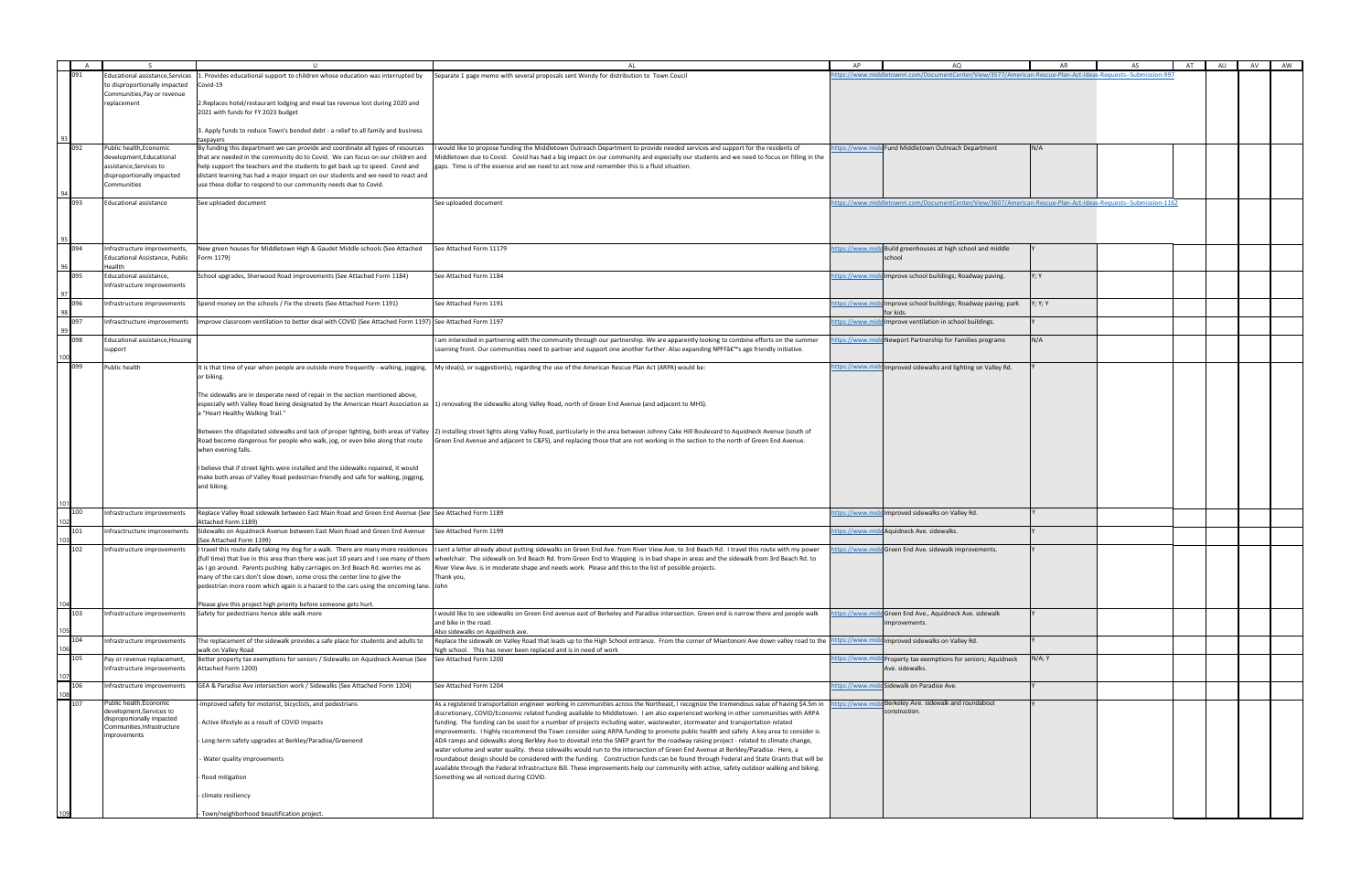|     |                                                                   | <b>U</b>                                                                                                                                                           | $\mathsf{Al}$                                                                                                                                                                                                                                                                                                                                                                                                  | ΔP                   | AO                                                                                                            |         | AT | AU<br>AV | AW |
|-----|-------------------------------------------------------------------|--------------------------------------------------------------------------------------------------------------------------------------------------------------------|----------------------------------------------------------------------------------------------------------------------------------------------------------------------------------------------------------------------------------------------------------------------------------------------------------------------------------------------------------------------------------------------------------------|----------------------|---------------------------------------------------------------------------------------------------------------|---------|----|----------|----|
|     | Educational assistance, Services<br>to disproportionally impacted | . Provides educational support to children whose education was interrupted by<br>Covid-19                                                                          | Separate 1 page memo with several proposals sent Wendy for distribution to Town Coucil                                                                                                                                                                                                                                                                                                                         |                      | tps://www.middletownri.com/DocumentCenter/View/3577/American-Rescue-Plan-Act-Ideas-Requests--Submission-997   |         |    |          |    |
|     | Communities, Pay or revenue<br>replacement                        | Replaces hotel/restaurant lodging and meal tax revenue lost during 2020 and<br>2021 with funds for FY 2023 budget                                                  |                                                                                                                                                                                                                                                                                                                                                                                                                |                      |                                                                                                               |         |    |          |    |
|     |                                                                   | 3. Apply funds to reduce Town's bonded debt - a relief to all family and business<br>axpayers                                                                      |                                                                                                                                                                                                                                                                                                                                                                                                                |                      |                                                                                                               |         |    |          |    |
| 092 | Public health, Economic                                           | By funding this department we can provide and coordinate all types of resources                                                                                    | would like to propose funding the Middletown Outreach Department to provide needed services and support for the residents of                                                                                                                                                                                                                                                                                   | tps://www.n          | Fund Middletown Outreach Department                                                                           | N/A     |    |          |    |
|     | development, Educational                                          | hat are needed in the community do to Covid. We can focus on our children and                                                                                      | Middletown due to Covid. Covid has had a big impact on our community and especially our students and we need to focus on filling in the                                                                                                                                                                                                                                                                        |                      |                                                                                                               |         |    |          |    |
|     | assistance, Services to                                           | help support the teachers and the students to get back up to speed. Covid and                                                                                      | gaps. Time is of the essence and we need to act now and remember this is a fluid situation.                                                                                                                                                                                                                                                                                                                    |                      |                                                                                                               |         |    |          |    |
|     | disproportionally impacted<br>Communities                         | distant learning has had a major impact on our students and we need to react and<br>use these dollar to respond to our community needs due to Covid.               |                                                                                                                                                                                                                                                                                                                                                                                                                |                      |                                                                                                               |         |    |          |    |
| 093 | <b>Educational assistance</b>                                     | See uploaded document                                                                                                                                              | See uploaded document                                                                                                                                                                                                                                                                                                                                                                                          |                      | ttps://www.middletownri.com/DocumentCenter/View/3607/American-Rescue-Plan-Act-Ideas-Requests--Submission-1162 |         |    |          |    |
|     |                                                                   |                                                                                                                                                                    |                                                                                                                                                                                                                                                                                                                                                                                                                |                      |                                                                                                               |         |    |          |    |
|     |                                                                   |                                                                                                                                                                    |                                                                                                                                                                                                                                                                                                                                                                                                                |                      |                                                                                                               |         |    |          |    |
| 094 | Infrastructure improvements,<br>Educational Assistance, Public    | Vew green houses for Middletown High & Gaudet Middle schools (See Attached<br>Form 1179)                                                                           | See Attached Form 11179                                                                                                                                                                                                                                                                                                                                                                                        | tps://www.m          | Build greenhouses at high school and middle<br>school                                                         |         |    |          |    |
| 095 | Heallth<br>Educational assistance,                                | School upgrades, Sherwood Road improvements (See Attached Form 1184)                                                                                               | See Attached Form 1184                                                                                                                                                                                                                                                                                                                                                                                         | tps://www.mi         | Improve school buildings; Roadway paving.                                                                     | Y; Y    |    |          |    |
|     | Infrastructure improvements                                       |                                                                                                                                                                    |                                                                                                                                                                                                                                                                                                                                                                                                                |                      |                                                                                                               |         |    |          |    |
| 096 | Infrastructure improvements                                       | Spend money on the schools / Fix the streets (See Attached Form 1191)                                                                                              | See Attached Form 1191                                                                                                                                                                                                                                                                                                                                                                                         | tps://www.m          | Improve school buildings; Roadway paving; park<br>for kids.                                                   | Y; Y; Y |    |          |    |
| 097 | Infrasctructure improvements                                      | mprove classroom ventilation to better deal with COVID (See Attached Form 1197) See Attached Form 1197                                                             |                                                                                                                                                                                                                                                                                                                                                                                                                | <u>ttps://www.mi</u> | Improve ventilation in school buildings.                                                                      |         |    |          |    |
| 098 | <b>Educational assistance, Housing</b>                            |                                                                                                                                                                    | am interested in partnering with the community through our partnership. We are apparently looking to combine efforts on the summer                                                                                                                                                                                                                                                                             | tps://www.mi         | Newport Partnership for Families programs                                                                     | N/A     |    |          |    |
|     | support                                                           |                                                                                                                                                                    | Learning front. Our communities need to partner and support one another further. Also expanding NPFF's age friendly initiative.                                                                                                                                                                                                                                                                                |                      |                                                                                                               |         |    |          |    |
| 099 | Public health                                                     | t is that time of year when people are outside more frequently - walking, jogging,<br>or biking.                                                                   | My idea(s), or suggestion(s), regarding the use of the American Rescue Plan Act (ARPA) would be:                                                                                                                                                                                                                                                                                                               | tps://www.mi         | Improved sidewalks and lighting on Valley Rd.                                                                 |         |    |          |    |
|     |                                                                   |                                                                                                                                                                    |                                                                                                                                                                                                                                                                                                                                                                                                                |                      |                                                                                                               |         |    |          |    |
|     |                                                                   | The sidewalks are in desperate need of repair in the section mentioned above,                                                                                      | especially with Valley Road being designated by the American Heart Association as  1) renovating the sidewalks along Valley Road, north of Green End Avenue (and adjacent to MHS).                                                                                                                                                                                                                             |                      |                                                                                                               |         |    |          |    |
|     |                                                                   | "Heart Healthy Walking Trail."                                                                                                                                     |                                                                                                                                                                                                                                                                                                                                                                                                                |                      |                                                                                                               |         |    |          |    |
|     |                                                                   |                                                                                                                                                                    | Between the dilapidated sidewalks and lack of proper lighting, both areas of Valley [2] installing street lights along Valley Road, particularly in the area between Johnny Cake Hill Boulevard to Aquidneck Avenue (south of                                                                                                                                                                                  |                      |                                                                                                               |         |    |          |    |
|     |                                                                   | Road become dangerous for people who walk, jog, or even bike along that route<br>when evening falls.                                                               | Green End Avenue and adjacent to C&FS), and replacing those that are not working in the section to the north of Green End Avenue.                                                                                                                                                                                                                                                                              |                      |                                                                                                               |         |    |          |    |
|     |                                                                   | believe that if street lights were installed and the sidewalks repaired, it would                                                                                  |                                                                                                                                                                                                                                                                                                                                                                                                                |                      |                                                                                                               |         |    |          |    |
|     |                                                                   | make both areas of Valley Road pedestrian-friendly and safe for walking, jogging,<br>and biking.                                                                   |                                                                                                                                                                                                                                                                                                                                                                                                                |                      |                                                                                                               |         |    |          |    |
|     |                                                                   |                                                                                                                                                                    |                                                                                                                                                                                                                                                                                                                                                                                                                |                      |                                                                                                               |         |    |          |    |
| 100 | Infrastructure improvements                                       | Replace Valley Road sidewalk between East Main Road and Green End Avenue (See See Attached Form 1189<br>ttached Form 1189)                                         |                                                                                                                                                                                                                                                                                                                                                                                                                | tps://www.mi         | Improved sidewalks on Valley Rd.                                                                              |         |    |          |    |
| 101 | Infrasctructure improvements                                      | Sidewalks on Aquidneck Avenue between East Main Road and Green End Avenue<br>ee Attached Form 1199)                                                                | See Attached Form 1199                                                                                                                                                                                                                                                                                                                                                                                         | tps://www.mio        | Aquidneck Ave. sidewalks.                                                                                     |         |    |          |    |
| 102 | Infrastructure improvements                                       |                                                                                                                                                                    | travel this route daily taking my dog for a walk. There are many more residences I sent a letter already about putting sidewalks on Green End Ave. from River View Ave. to 3rd Beach Rd. I travel this route with my power                                                                                                                                                                                     |                      | https://www.midd Green End Ave. sidewalk improvements.                                                        |         |    |          |    |
|     |                                                                   | as I go around. Parents pushing baby carriages on 3rd Beach Rd. worries me as                                                                                      | full time) that live in this area than there was just 10 years and I see many of them  wheelchair. The sidewalk on 3rd Beach Rd. from Green End to Wapping is in bad shape in areas and the sidewalk from 3rd Beach Rd. to<br>River View Ave. is in moderate shape and needs work. Please add this to the list of possible projects.                                                                           |                      |                                                                                                               |         |    |          |    |
|     |                                                                   | many of the cars don't slow down, some cross the center line to give the<br>pedestrian more room which again is a hazard to the cars using the oncoming lane. John | Thank you,                                                                                                                                                                                                                                                                                                                                                                                                     |                      |                                                                                                               |         |    |          |    |
|     |                                                                   | Please give this project high priority before someone gets hurt.                                                                                                   |                                                                                                                                                                                                                                                                                                                                                                                                                |                      |                                                                                                               |         |    |          |    |
| 103 | Infrastructure improvements                                       | Safety for pedestrians hence able walk more                                                                                                                        | would like to see sidewalks on Green End avenue east of Berkeley and Paradise intersection. Green end is narrow there and people walk                                                                                                                                                                                                                                                                          | ttps://www.mi        | Green End Ave., Aquidneck Ave. sidewalk                                                                       |         |    |          |    |
|     |                                                                   |                                                                                                                                                                    | and bike in the road.<br>Also sidewalks on Aquidneck ave.                                                                                                                                                                                                                                                                                                                                                      |                      | mprovements.                                                                                                  |         |    |          |    |
| 104 | Infrastructure improvements                                       | The replacement of the sidewalk provides a safe place for students and adults to<br>walk on Valley Road                                                            | Replace the sidewalk on Valley Road that leads up to the High School entrance. From the corner of Miantononi Ave down valley road to the<br>high school. This has never been replaced and is in need of work                                                                                                                                                                                                   | https://www.mi       | Improved sidewalks on Valley Rd.                                                                              |         |    |          |    |
| 105 | Pay or revenue replacement,                                       | Better property tax exemptions for seniors / Sidewalks on Aquidneck Avenue (See<br>Attached Form 1200)                                                             | See Attached Form 1200                                                                                                                                                                                                                                                                                                                                                                                         | tps://www.mi         | Property tax exemptions for seniors; Aquidneck<br>Ave. sidewalks.                                             | N/A; Y  |    |          |    |
|     | Infrastructure improvements                                       |                                                                                                                                                                    |                                                                                                                                                                                                                                                                                                                                                                                                                |                      |                                                                                                               |         |    |          |    |
| 106 | Infrastructure improvements                                       | GEA & Paradise Ave intersection work / Sidewalks (See Attached Form 1204)                                                                                          | See Attached Form 1204                                                                                                                                                                                                                                                                                                                                                                                         | ttps://www.mi        | Sidewalk on Paradise Ave.                                                                                     |         |    |          |    |
| 107 | Public health, Economic<br>development, Services to               | mproved safety for motorist, bicyclists, and pedestrians                                                                                                           | As a registered transportation engineer working in communities across the Northeast, I recognize the tremendous value of having \$4.5m ii<br>discretionary, COVID/Economic related funding available to Middletown. I am also experienced working in other communities with ARPA                                                                                                                               | ttps://www.mi        | Berkeley Ave. sidewalk and roundabout<br>construction.                                                        |         |    |          |    |
|     | disproportionally impacted<br>Communities, Infrastructure         | Active lifestyle as a result of COVID Impacts                                                                                                                      | funding. The funding can be used for a number of projects including water, wastewater, stormwater and transportation related                                                                                                                                                                                                                                                                                   |                      |                                                                                                               |         |    |          |    |
|     | improvements                                                      | Long-term safety upgrades at Berkley/Paradise/Greenend                                                                                                             | mprovements. I highly recommend the Town consider using ARPA funding to promote public health and safety A key area to consider is<br>ADA ramps and sidewalks along Berkley Ave to dovetail into the SNEP grant for the roadway raising project - related to climate change,<br>water volume and water quality. these sidewalks would run to the intersection of Green End Avenue at Berkley/Paradise. Here, a |                      |                                                                                                               |         |    |          |    |
|     |                                                                   | Water quality improvements                                                                                                                                         | oundabout design should be considered with the funding. Construction funds can be found through Federal and State Grants that will be                                                                                                                                                                                                                                                                          |                      |                                                                                                               |         |    |          |    |
|     |                                                                   | flood mitigation                                                                                                                                                   | available through the Federal Infrastructure Bill. These improvements help our community with active, safety outdoor walking and biking.<br>Something we all noticed during COVID.                                                                                                                                                                                                                             |                      |                                                                                                               |         |    |          |    |
|     |                                                                   | climate resiliency                                                                                                                                                 |                                                                                                                                                                                                                                                                                                                                                                                                                |                      |                                                                                                               |         |    |          |    |
|     |                                                                   | Town/neighborhood beautification project.                                                                                                                          |                                                                                                                                                                                                                                                                                                                                                                                                                |                      |                                                                                                               |         |    |          |    |
|     |                                                                   |                                                                                                                                                                    |                                                                                                                                                                                                                                                                                                                                                                                                                |                      |                                                                                                               |         |    |          |    |